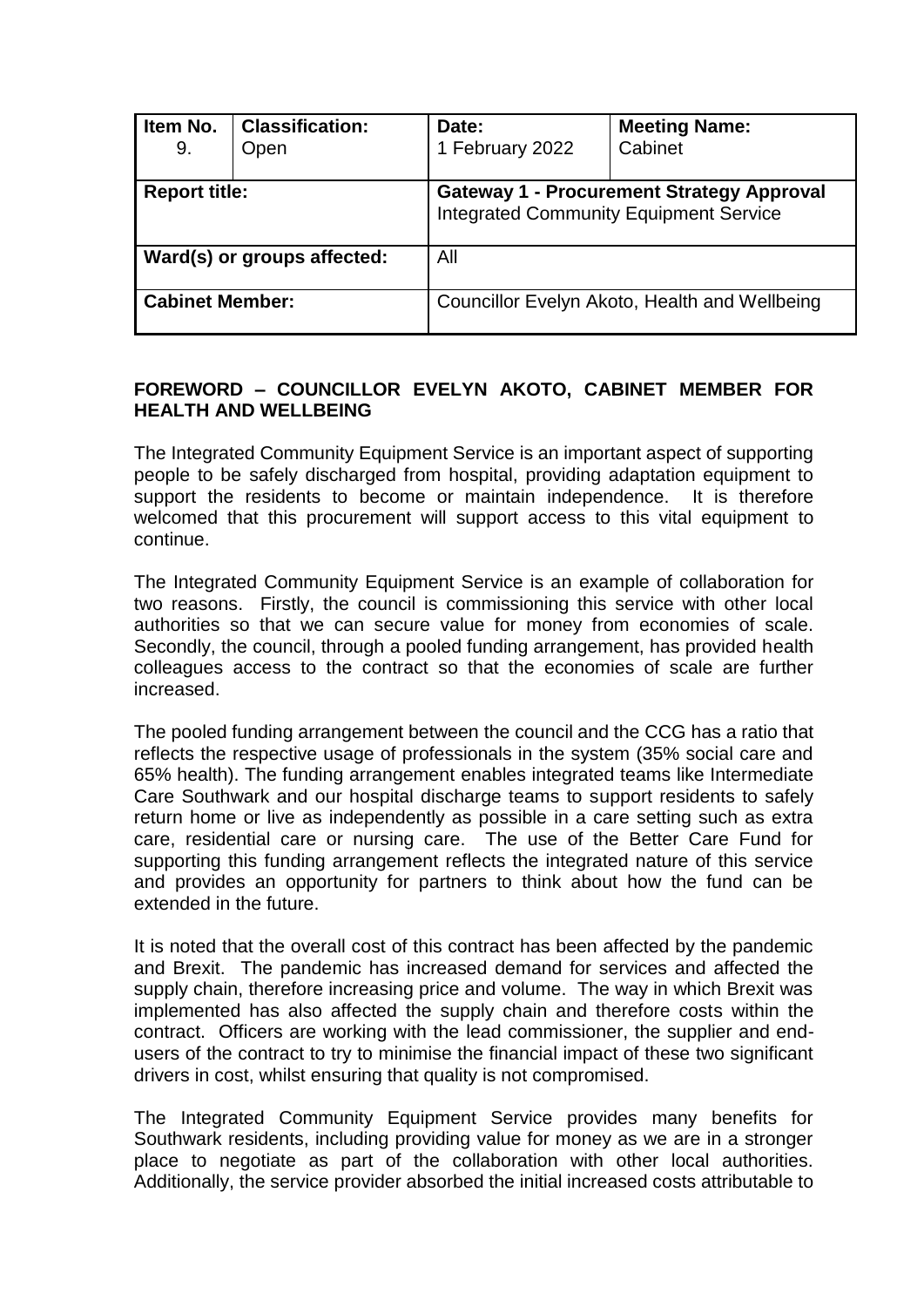| Item No.<br>9.              | <b>Classification:</b><br>Open | Date:<br>1 February 2022                                                                          | <b>Meeting Name:</b><br>Cabinet |  |
|-----------------------------|--------------------------------|---------------------------------------------------------------------------------------------------|---------------------------------|--|
| <b>Report title:</b>        |                                | <b>Gateway 1 - Procurement Strategy Approval</b><br><b>Integrated Community Equipment Service</b> |                                 |  |
| Ward(s) or groups affected: |                                | All                                                                                               |                                 |  |
| <b>Cabinet Member:</b>      |                                | Councillor Evelyn Akoto, Health and Wellbeing                                                     |                                 |  |

# **FOREWORD – COUNCILLOR EVELYN AKOTO, CABINET MEMBER FOR HEALTH AND WELL BEING**

The Integrated Community Equipment Service is an important aspect of supporting people to be safely discharged from hospital, providing adaptation equipment to support the residents to become or maintain independence. It is therefore welcomed that this procurement will support access to this vital equipment to continue.

The Integrated Community Equipment Service is an example of collaboration for two reasons. Firstly, the council is commissioning this service with other local authorities so that we can secure value for money from economies of scale. Secondly, the council, through a pooled funding arrangement, has provided health colleagues access to the contract so that the economies of scale are further increased.

The pooled funding arrangement between the council and the CCG has a ratio that reflects the respective usage of professionals in the system (35% social care and 65% health). The funding arrangement enables integrated teams like Intermediate Care Southwark and our hospital discharge teams to support residents to safely return home or live as independently as possible in a care setting such as extra care, residential care or nursing care. The use of the Better Care Fund for supporting this funding arrangement reflects the integrated nature of this service and provides an opportunity for partners to think about how the fund can be extended in the future.

It is noted that the overall cost of this contract has been affected by the pandemic and Brexit. The pandemic has increased demand for services and affected the supply chain, therefore increasing price and volume. The way in which Brexit was implemented has also affected the supply chain and therefore costs within the contract. Officers are working with the lead commissioner, the supplier and endusers of the contract to try to minimise the financial impact of these two significant drivers in cost, whilst ensuring that quality is not compromised.

The Integrated Community Equipment Service provides many benefits for Southwark residents, including providing value for money as we are in a stronger place to negotiate as part of the collaboration with other local authorities. Additionally, the service provider absorbed the initial increased costs attributable to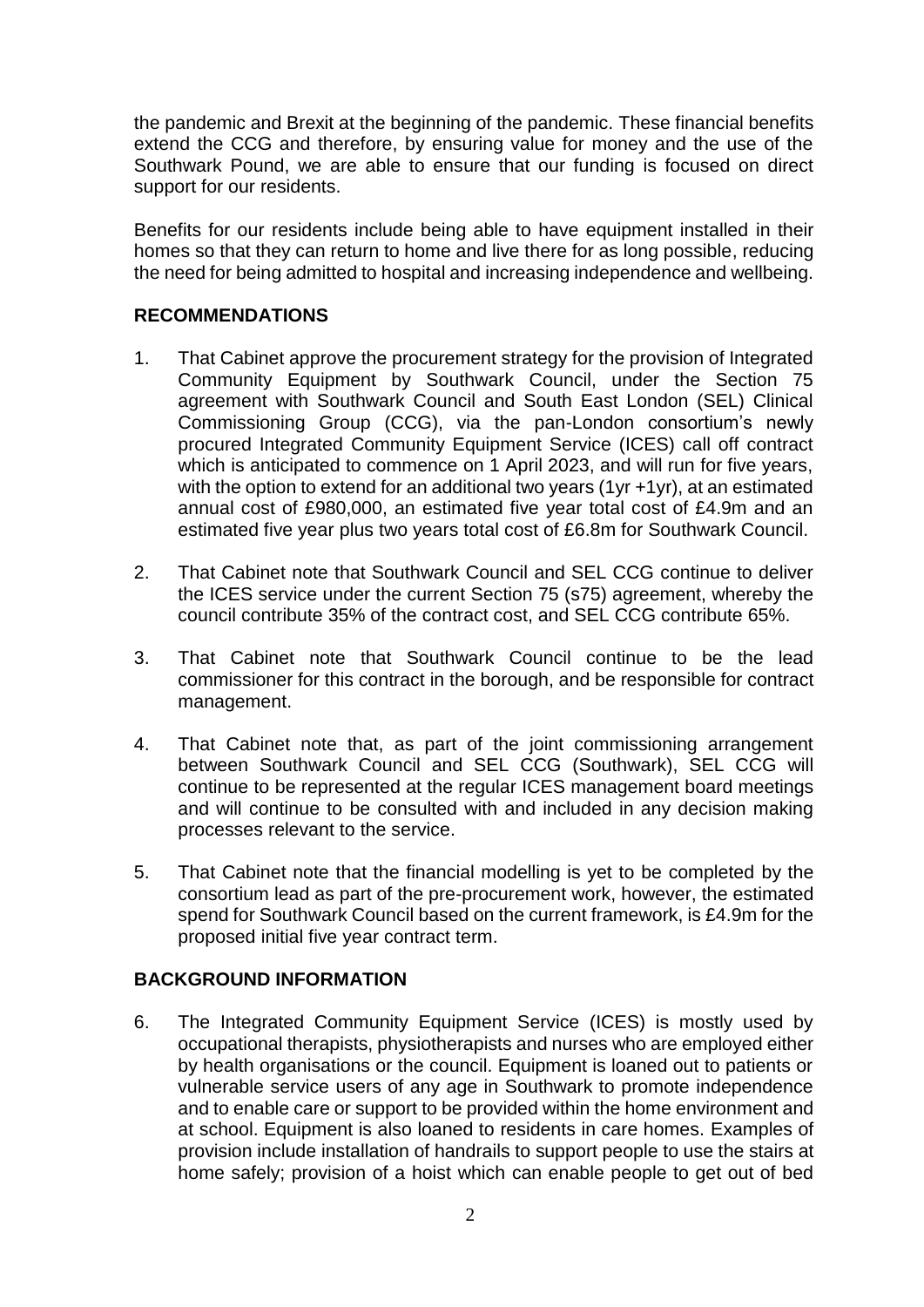the pandemic and Brexit at the beginning of the pandemic. These financial benefits extend the CCG and therefore, by ensuring value for money and the use of the Southwark Pound, we are able to ensure that our funding is focused on direct support for our residents.

Benefits for our residents include being able to have equipment installed in their homes so that they can return to home and live there for as long possible, reducing the need for being admitted to hospital and increasing independence and wellbeing.

# **RECOMMENDATIONS**

- 1. That Cabinet approve the procurement strategy for the provision of Integrated Community Equipment by Southwark Council, under the Section 75 agreement with Southwark Council and South East London (SEL) Clinical Commissioning Group (CCG), via the pan-London consortium's newly procured Integrated Community Equipment Service (ICES) call off contract which is anticipated to commence on 1 April 2023, and will run for five years, with the option to extend for an additional two years (1yr +1yr), at an estimated annual cost of £980,000, an estimated five year total cost of £4.9m and an estimated five year plus two years total cost of £6.8m for Southwark Council.
- 2. That Cabinet note that Southwark Council and SEL CCG continue to deliver the ICES service under the current Section 75 (s75) agreement, whereby the council contribute 35% of the contract cost, and SEL CCG contribute 65%.
- 3. That Cabinet note that Southwark Council continue to be the lead commissioner for this contract in the borough, and be responsible for contract management.
- 4. That Cabinet note that, as part of the joint commissioning arrangement between Southwark Council and SEL CCG (Southwark), SEL CCG will continue to be represented at the regular ICES management board meetings and will continue to be consulted with and included in any decision making processes relevant to the service.
- 5. That Cabinet note that the financial modelling is yet to be completed by the consortium lead as part of the pre-procurement work, however, the estimated spend for Southwark Council based on the current framework, is £4.9m for the proposed initial five year contract term.

# **BACKGROUND INFORMATION**

6. The Integrated Community Equipment Service (ICES) is mostly used by occupational therapists, physiotherapists and nurses who are employed either by health organisations or the council. Equipment is loaned out to patients or vulnerable service users of any age in Southwark to promote independence and to enable care or support to be provided within the home environment and at school. Equipment is also loaned to residents in care homes. Examples of provision include installation of handrails to support people to use the stairs at home safely; provision of a hoist which can enable people to get out of bed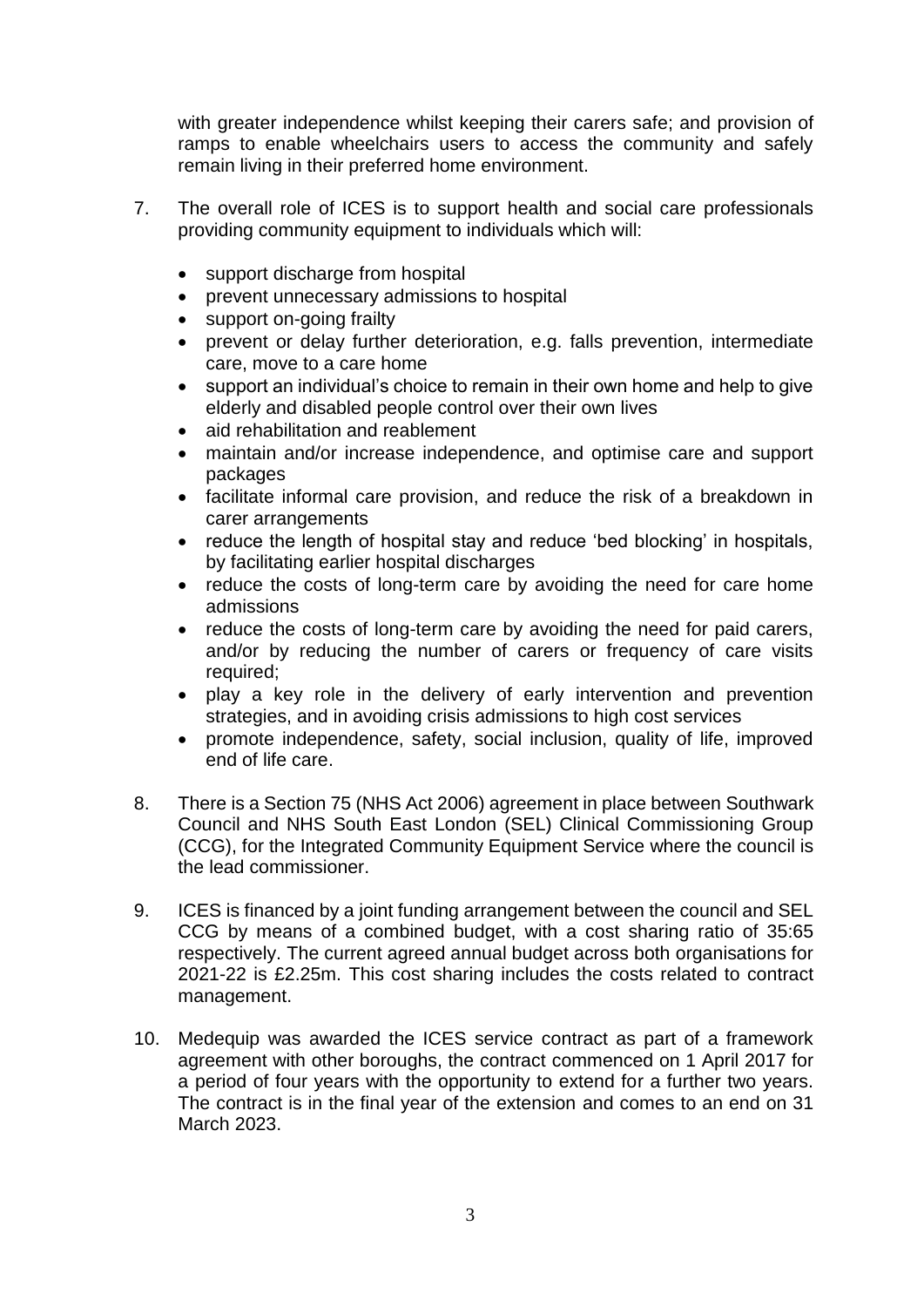with greater independence whilst keeping their carers safe; and provision of ramps to enable wheelchairs users to access the community and safely remain living in their preferred home environment.

- 7. The overall role of ICES is to support health and social care professionals providing community equipment to individuals which will:
	- support discharge from hospital
	- prevent unnecessary admissions to hospital
	- support on-going frailty
	- prevent or delay further deterioration, e.g. falls prevention, intermediate care, move to a care home
	- support an individual's choice to remain in their own home and help to give elderly and disabled people control over their own lives
	- aid rehabilitation and reablement
	- maintain and/or increase independence, and optimise care and support packages
	- facilitate informal care provision, and reduce the risk of a breakdown in carer arrangements
	- reduce the length of hospital stay and reduce 'bed blocking' in hospitals, by facilitating earlier hospital discharges
	- reduce the costs of long-term care by avoiding the need for care home admissions
	- reduce the costs of long-term care by avoiding the need for paid carers, and/or by reducing the number of carers or frequency of care visits required;
	- play a key role in the delivery of early intervention and prevention strategies, and in avoiding crisis admissions to high cost services
	- promote independence, safety, social inclusion, quality of life, improved end of life care.
- 8. There is a Section 75 (NHS Act 2006) agreement in place between Southwark Council and NHS South East London (SEL) Clinical Commissioning Group (CCG), for the Integrated Community Equipment Service where the council is the lead commissioner.
- 9. ICES is financed by a joint funding arrangement between the council and SEL CCG by means of a combined budget, with a cost sharing ratio of 35:65 respectively. The current agreed annual budget across both organisations for 2021-22 is £2.25m. This cost sharing includes the costs related to contract management.
- 10. Medequip was awarded the ICES service contract as part of a framework agreement with other boroughs, the contract commenced on 1 April 2017 for a period of four years with the opportunity to extend for a further two years. The contract is in the final year of the extension and comes to an end on 31 March 2023.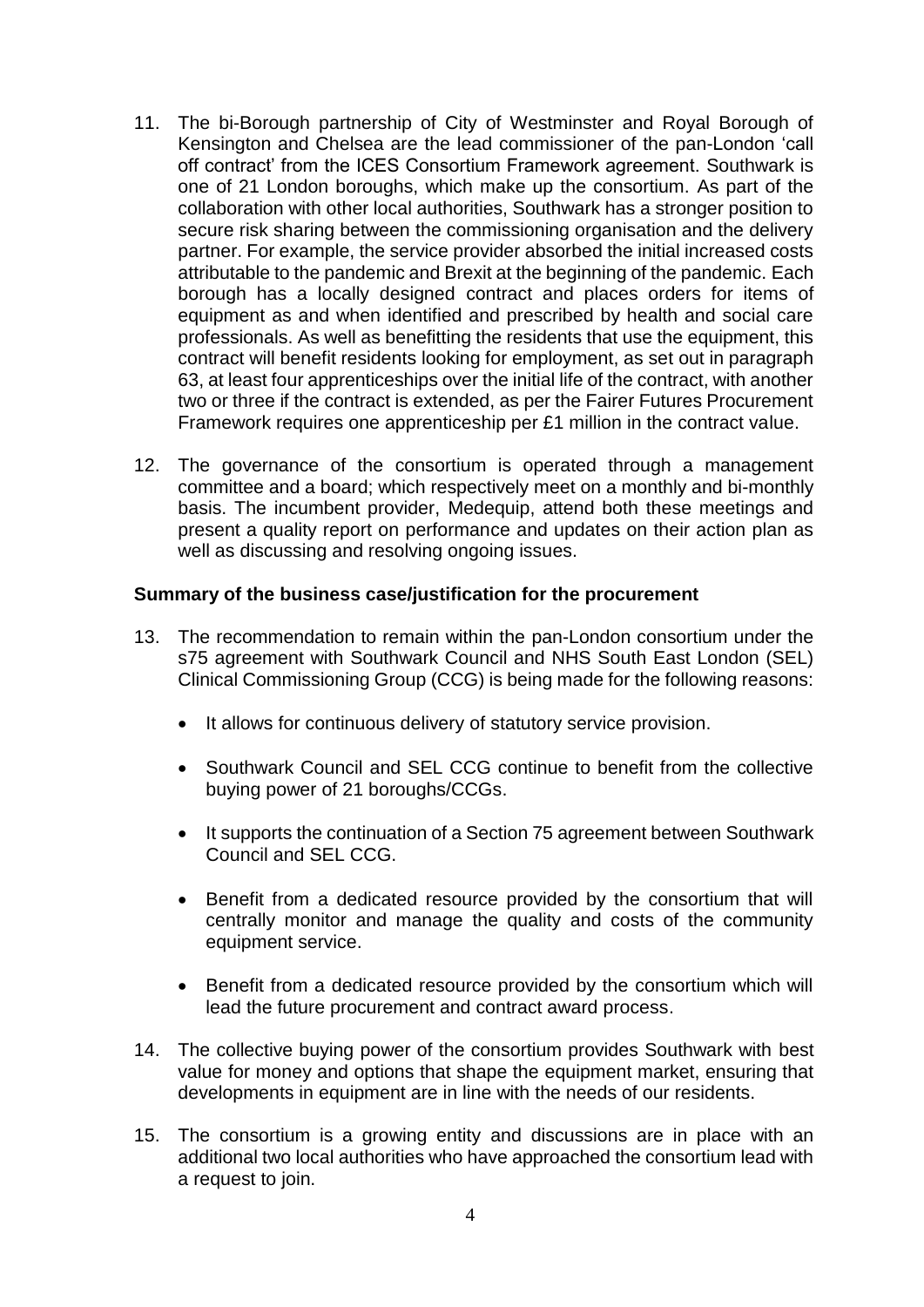- 11. The bi-Borough partnership of City of Westminster and Royal Borough of Kensington and Chelsea are the lead commissioner of the pan-London 'call off contract' from the ICES Consortium Framework agreement. Southwark is one of 21 London boroughs, which make up the consortium. As part of the collaboration with other local authorities, Southwark has a stronger position to secure risk sharing between the commissioning organisation and the delivery partner. For example, the service provider absorbed the initial increased costs attributable to the pandemic and Brexit at the beginning of the pandemic. Each borough has a locally designed contract and places orders for items of equipment as and when identified and prescribed by health and social care professionals. As well as benefitting the residents that use the equipment, this contract will benefit residents looking for employment, as set out in paragraph 63, at least four apprenticeships over the initial life of the contract, with another two or three if the contract is extended, as per the Fairer Futures Procurement Framework requires one apprenticeship per £1 million in the contract value.
- 12. The governance of the consortium is operated through a management committee and a board; which respectively meet on a monthly and bi-monthly basis. The incumbent provider, Medequip, attend both these meetings and present a quality report on performance and updates on their action plan as well as discussing and resolving ongoing issues.

#### **Summary of the business case/justification for the procurement**

- 13. The recommendation to remain within the pan-London consortium under the s75 agreement with Southwark Council and NHS South East London (SEL) Clinical Commissioning Group (CCG) is being made for the following reasons:
	- $\bullet$  It allows for continuous delivery of statutory service provision.
	- Southwark Council and SEL CCG continue to benefit from the collective buying power of 21 boroughs/CCGs.
	- It supports the continuation of a Section 75 agreement between Southwark Council and SEL CCG.
	- Benefit from a dedicated resource provided by the consortium that will centrally monitor and manage the quality and costs of the community equipment service.
	- Benefit from a dedicated resource provided by the consortium which will lead the future procurement and contract award process.
- 14. The collective buying power of the consortium provides Southwark with best value for money and options that shape the equipment market, ensuring that developments in equipment are in line with the needs of our residents.
- 15. The consortium is a growing entity and discussions are in place with an additional two local authorities who have approached the consortium lead with a request to join.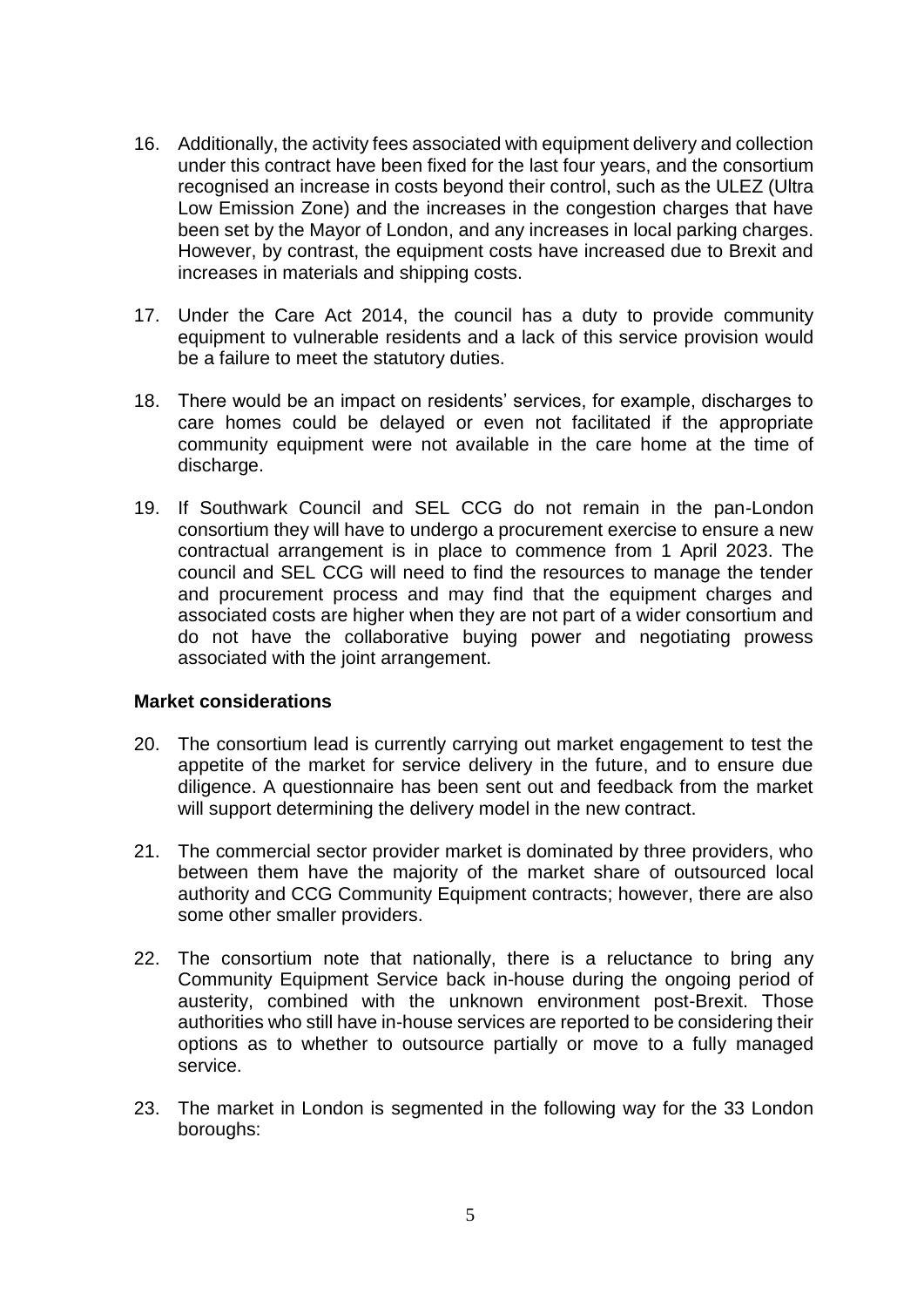- 16. Additionally, the activity fees associated with equipment delivery and collection under this contract have been fixed for the last four years, and the consortium recognised an increase in costs beyond their control, such as the ULEZ (Ultra Low Emission Zone) and the increases in the congestion charges that have been set by the Mayor of London, and any increases in local parking charges. However, by contrast, the equipment costs have increased due to Brexit and increases in materials and shipping costs.
- 17. Under the Care Act 2014, the council has a duty to provide community equipment to vulnerable residents and a lack of this service provision would be a failure to meet the statutory duties.
- 18. There would be an impact on residents' services, for example, discharges to care homes could be delayed or even not facilitated if the appropriate community equipment were not available in the care home at the time of discharge.
- 19. If Southwark Council and SEL CCG do not remain in the pan-London consortium they will have to undergo a procurement exercise to ensure a new contractual arrangement is in place to commence from 1 April 2023. The council and SEL CCG will need to find the resources to manage the tender and procurement process and may find that the equipment charges and associated costs are higher when they are not part of a wider consortium and do not have the collaborative buying power and negotiating prowess associated with the joint arrangement.

## **Market considerations**

- 20. The consortium lead is currently carrying out market engagement to test the appetite of the market for service delivery in the future, and to ensure due diligence. A questionnaire has been sent out and feedback from the market will support determining the delivery model in the new contract.
- 21. The commercial sector provider market is dominated by three providers, who between them have the majority of the market share of outsourced local authority and CCG Community Equipment contracts; however, there are also some other smaller providers.
- 22. The consortium note that nationally, there is a reluctance to bring any Community Equipment Service back in-house during the ongoing period of austerity, combined with the unknown environment post-Brexit. Those authorities who still have in-house services are reported to be considering their options as to whether to outsource partially or move to a fully managed service.
- 23. The market in London is segmented in the following way for the 33 London boroughs: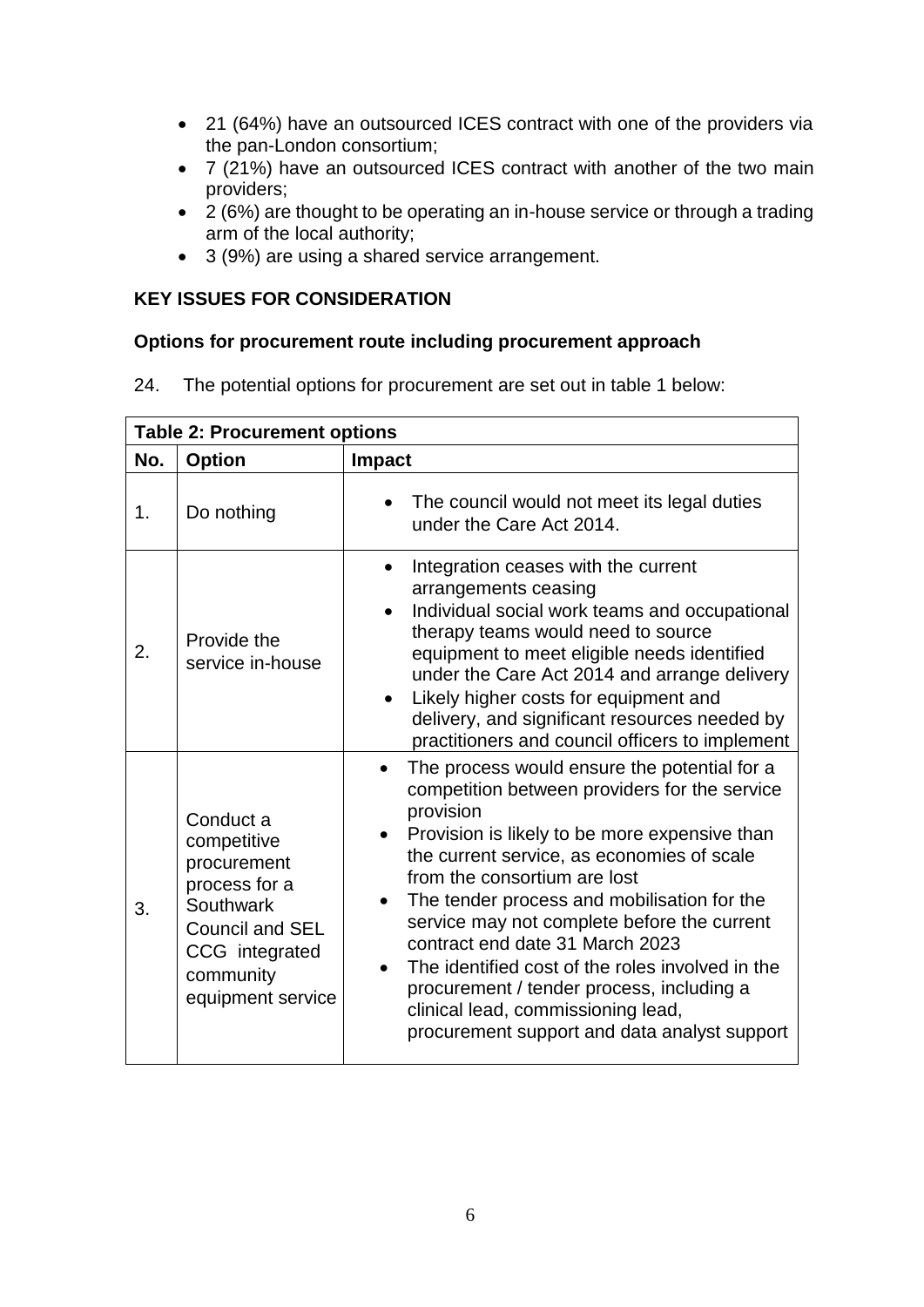- 21 (64%) have an outsourced ICES contract with one of the providers via the pan-London consortium;
- 7 (21%) have an outsourced ICES contract with another of the two main providers;
- 2 (6%) are thought to be operating an in-house service or through a trading arm of the local authority;
- 3 (9%) are using a shared service arrangement.

# **KEY ISSUES FOR CONSIDERATION**

# **Options for procurement route including procurement approach**

24. The potential options for procurement are set out in table 1 below:

| <b>Table 2: Procurement options</b> |                                                                                                                                                     |                                                                                                                                                                                                                                                                                                                                                                                                                                                                                                                                                                   |  |  |
|-------------------------------------|-----------------------------------------------------------------------------------------------------------------------------------------------------|-------------------------------------------------------------------------------------------------------------------------------------------------------------------------------------------------------------------------------------------------------------------------------------------------------------------------------------------------------------------------------------------------------------------------------------------------------------------------------------------------------------------------------------------------------------------|--|--|
| No.                                 | <b>Option</b>                                                                                                                                       | <b>Impact</b>                                                                                                                                                                                                                                                                                                                                                                                                                                                                                                                                                     |  |  |
| 1.                                  | Do nothing                                                                                                                                          | The council would not meet its legal duties<br>under the Care Act 2014.                                                                                                                                                                                                                                                                                                                                                                                                                                                                                           |  |  |
| 2.                                  | Provide the<br>service in-house                                                                                                                     | Integration ceases with the current<br>$\bullet$<br>arrangements ceasing<br>Individual social work teams and occupational<br>therapy teams would need to source<br>equipment to meet eligible needs identified<br>under the Care Act 2014 and arrange delivery<br>Likely higher costs for equipment and<br>delivery, and significant resources needed by<br>practitioners and council officers to implement                                                                                                                                                       |  |  |
| 3.                                  | Conduct a<br>competitive<br>procurement<br>process for a<br>Southwark<br><b>Council and SEL</b><br>CCG integrated<br>community<br>equipment service | The process would ensure the potential for a<br>competition between providers for the service<br>provision<br>Provision is likely to be more expensive than<br>the current service, as economies of scale<br>from the consortium are lost<br>The tender process and mobilisation for the<br>service may not complete before the current<br>contract end date 31 March 2023<br>The identified cost of the roles involved in the<br>procurement / tender process, including a<br>clinical lead, commissioning lead,<br>procurement support and data analyst support |  |  |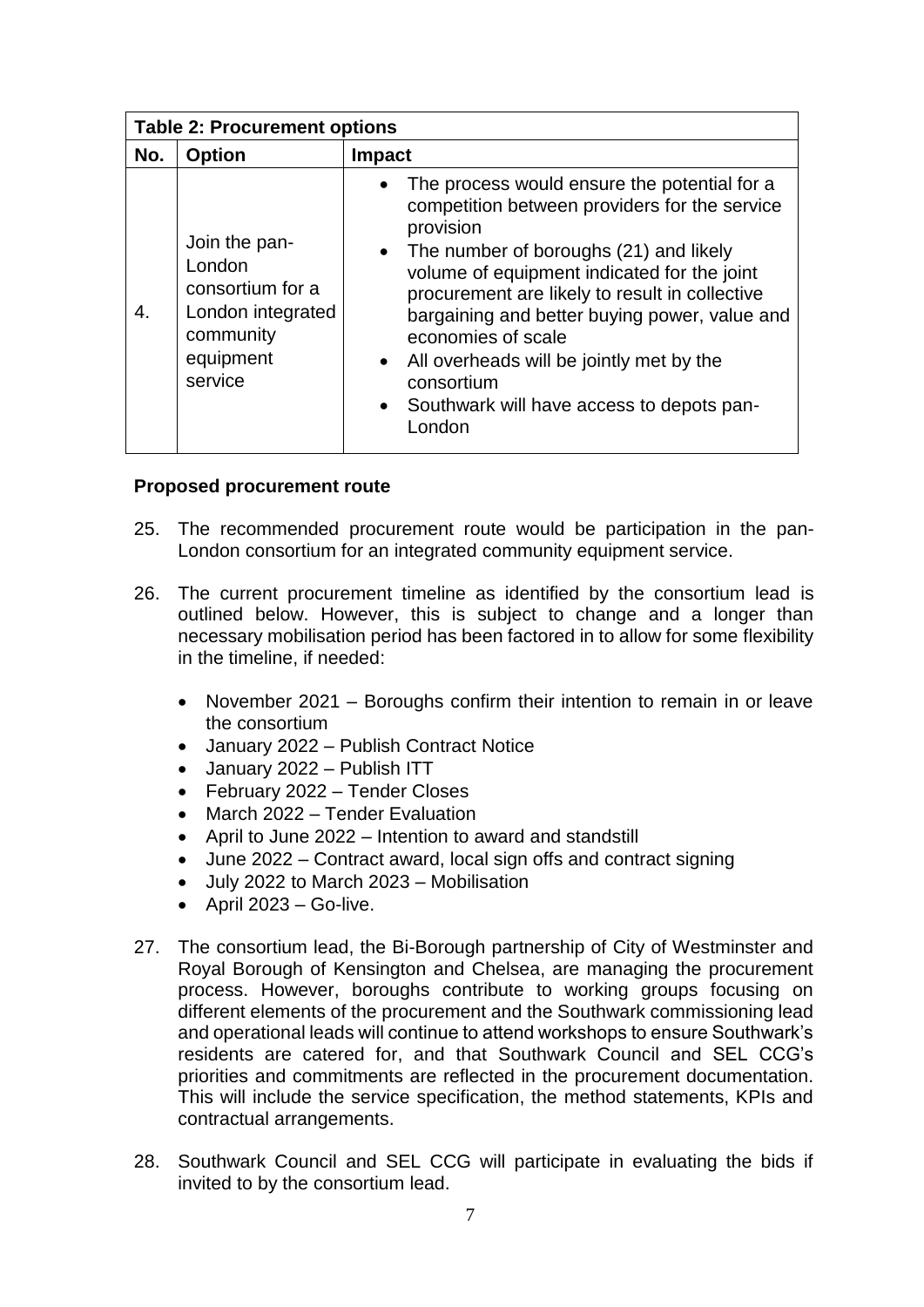| <b>Table 2: Procurement options</b> |                                                                                                       |                                                                                                                                                                                                                                                                                                                                                                                                                                                                    |  |  |
|-------------------------------------|-------------------------------------------------------------------------------------------------------|--------------------------------------------------------------------------------------------------------------------------------------------------------------------------------------------------------------------------------------------------------------------------------------------------------------------------------------------------------------------------------------------------------------------------------------------------------------------|--|--|
| No.                                 | <b>Option</b>                                                                                         | <b>Impact</b>                                                                                                                                                                                                                                                                                                                                                                                                                                                      |  |  |
| 4.                                  | Join the pan-<br>London<br>consortium for a<br>London integrated<br>community<br>equipment<br>service | The process would ensure the potential for a<br>$\bullet$<br>competition between providers for the service<br>provision<br>• The number of boroughs $(21)$ and likely<br>volume of equipment indicated for the joint<br>procurement are likely to result in collective<br>bargaining and better buying power, value and<br>economies of scale<br>• All overheads will be jointly met by the<br>consortium<br>• Southwark will have access to depots pan-<br>London |  |  |

#### **Proposed procurement route**

- 25. The recommended procurement route would be participation in the pan-London consortium for an integrated community equipment service.
- 26. The current procurement timeline as identified by the consortium lead is outlined below. However, this is subject to change and a longer than necessary mobilisation period has been factored in to allow for some flexibility in the timeline, if needed:
	- November 2021 Boroughs confirm their intention to remain in or leave the consortium
	- January 2022 Publish Contract Notice
	- January 2022 Publish ITT
	- February 2022 Tender Closes
	- March 2022 Tender Evaluation
	- April to June 2022 Intention to award and standstill
	- June 2022 Contract award, local sign offs and contract signing
	- July 2022 to March 2023 Mobilisation
	- $\bullet$  April 2023 Go-live.
- 27. The consortium lead, the Bi-Borough partnership of City of Westminster and Royal Borough of Kensington and Chelsea, are managing the procurement process. However, boroughs contribute to working groups focusing on different elements of the procurement and the Southwark commissioning lead and operational leads will continue to attend workshops to ensure Southwark's residents are catered for, and that Southwark Council and SEL CCG's priorities and commitments are reflected in the procurement documentation. This will include the service specification, the method statements, KPIs and contractual arrangements.
- 28. Southwark Council and SEL CCG will participate in evaluating the bids if invited to by the consortium lead.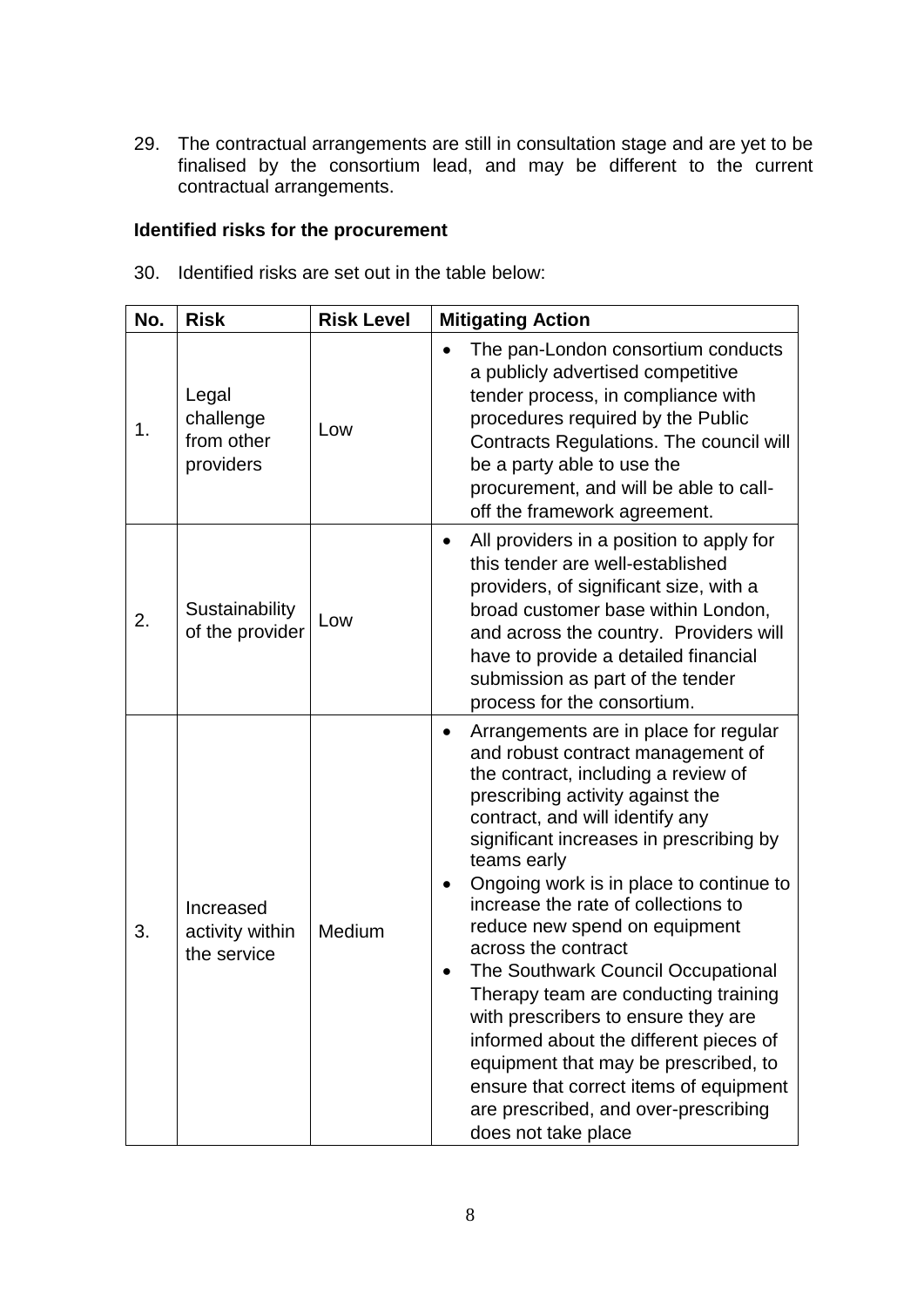29. The contractual arrangements are still in consultation stage and are yet to be finalised by the consortium lead, and may be different to the current contractual arrangements.

# **Identified risks for the procurement**

| 30. Identified risks are set out in the table below: |  |
|------------------------------------------------------|--|
|                                                      |  |

| No. | <b>Risk</b>                                   | <b>Risk Level</b> | <b>Mitigating Action</b>                                                                                                                                                                                                                                                                                                                                                                                                                                                                                                                                                                                                                                                                                                  |  |
|-----|-----------------------------------------------|-------------------|---------------------------------------------------------------------------------------------------------------------------------------------------------------------------------------------------------------------------------------------------------------------------------------------------------------------------------------------------------------------------------------------------------------------------------------------------------------------------------------------------------------------------------------------------------------------------------------------------------------------------------------------------------------------------------------------------------------------------|--|
| 1.  | Legal<br>challenge<br>from other<br>providers | Low               | The pan-London consortium conducts<br>a publicly advertised competitive<br>tender process, in compliance with<br>procedures required by the Public<br>Contracts Regulations. The council will<br>be a party able to use the<br>procurement, and will be able to call-<br>off the framework agreement.                                                                                                                                                                                                                                                                                                                                                                                                                     |  |
| 2.  | Sustainability<br>of the provider             | Low               | All providers in a position to apply for<br>this tender are well-established<br>providers, of significant size, with a<br>broad customer base within London,<br>and across the country. Providers will<br>have to provide a detailed financial<br>submission as part of the tender<br>process for the consortium.                                                                                                                                                                                                                                                                                                                                                                                                         |  |
| 3.  | Increased<br>activity within<br>the service   | Medium            | Arrangements are in place for regular<br>$\bullet$<br>and robust contract management of<br>the contract, including a review of<br>prescribing activity against the<br>contract, and will identify any<br>significant increases in prescribing by<br>teams early<br>Ongoing work is in place to continue to<br>increase the rate of collections to<br>reduce new spend on equipment<br>across the contract<br>The Southwark Council Occupational<br>Therapy team are conducting training<br>with prescribers to ensure they are<br>informed about the different pieces of<br>equipment that may be prescribed, to<br>ensure that correct items of equipment<br>are prescribed, and over-prescribing<br>does not take place |  |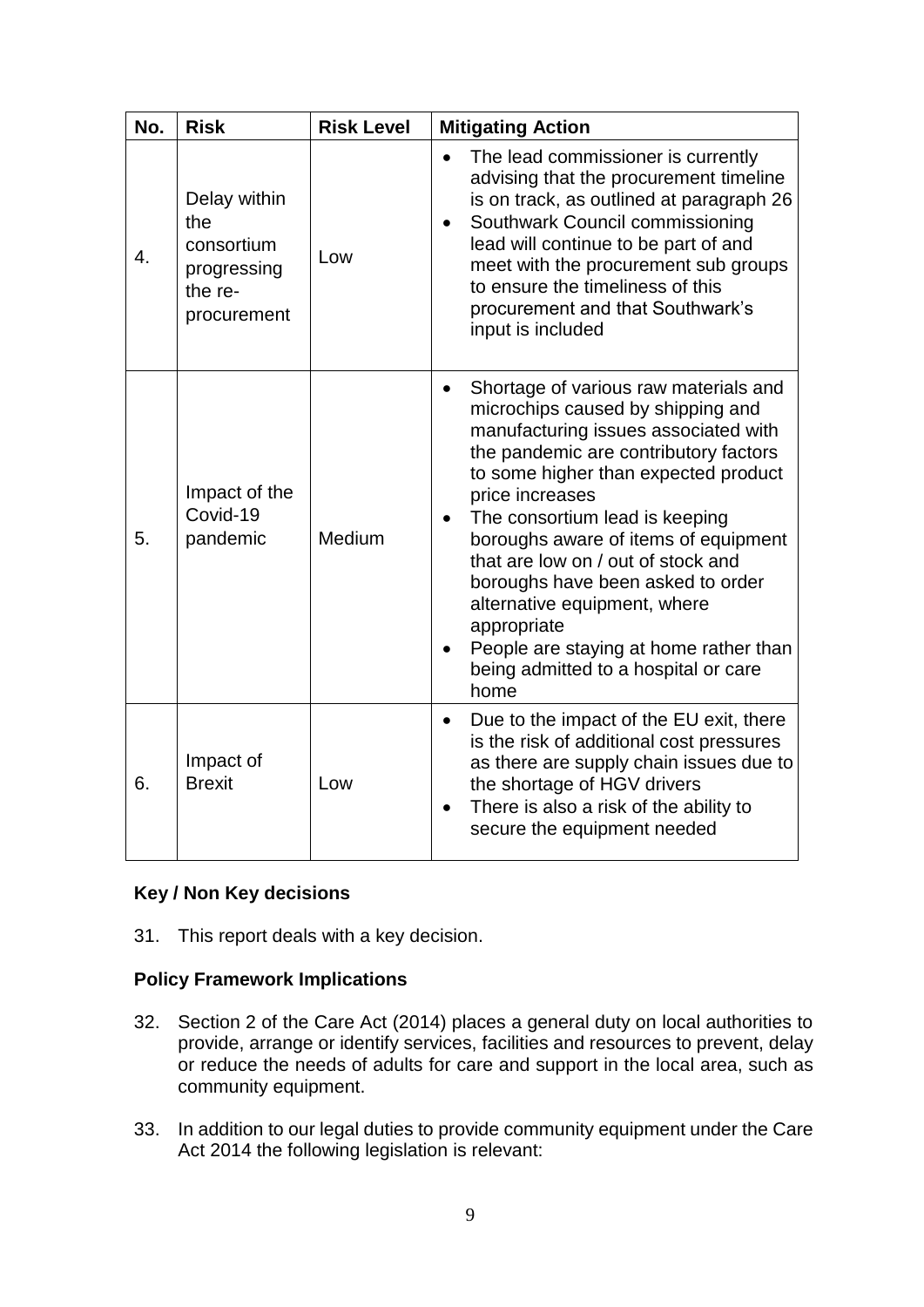| No. | <b>Risk</b>                                                                | <b>Risk Level</b> | <b>Mitigating Action</b>                                                                                                                                                                                                                                                                                                                                                                                                                                                                                             |  |
|-----|----------------------------------------------------------------------------|-------------------|----------------------------------------------------------------------------------------------------------------------------------------------------------------------------------------------------------------------------------------------------------------------------------------------------------------------------------------------------------------------------------------------------------------------------------------------------------------------------------------------------------------------|--|
| 4.  | Delay within<br>the<br>consortium<br>progressing<br>the re-<br>procurement | Low               | The lead commissioner is currently<br>$\bullet$<br>advising that the procurement timeline<br>is on track, as outlined at paragraph 26<br>Southwark Council commissioning<br>lead will continue to be part of and<br>meet with the procurement sub groups<br>to ensure the timeliness of this<br>procurement and that Southwark's<br>input is included                                                                                                                                                                |  |
| 5.  | Impact of the<br>Covid-19<br>pandemic                                      | Medium            | Shortage of various raw materials and<br>microchips caused by shipping and<br>manufacturing issues associated with<br>the pandemic are contributory factors<br>to some higher than expected product<br>price increases<br>The consortium lead is keeping<br>boroughs aware of items of equipment<br>that are low on / out of stock and<br>boroughs have been asked to order<br>alternative equipment, where<br>appropriate<br>People are staying at home rather than<br>being admitted to a hospital or care<br>home |  |
| 6.  | Impact of<br><b>Brexit</b>                                                 | Low               | Due to the impact of the EU exit, there<br>$\bullet$<br>is the risk of additional cost pressures<br>as there are supply chain issues due to<br>the shortage of HGV drivers<br>There is also a risk of the ability to<br>secure the equipment needed                                                                                                                                                                                                                                                                  |  |

# **Key / Non Key decisions**

31. This report deals with a key decision.

# **Policy Framework Implications**

- 32. Section 2 of the Care Act (2014) places a general duty on local authorities to provide, arrange or identify services, facilities and resources to prevent, delay or reduce the needs of adults for care and support in the local area, such as community equipment.
- 33. In addition to our legal duties to provide community equipment under the Care Act 2014 the following legislation is relevant: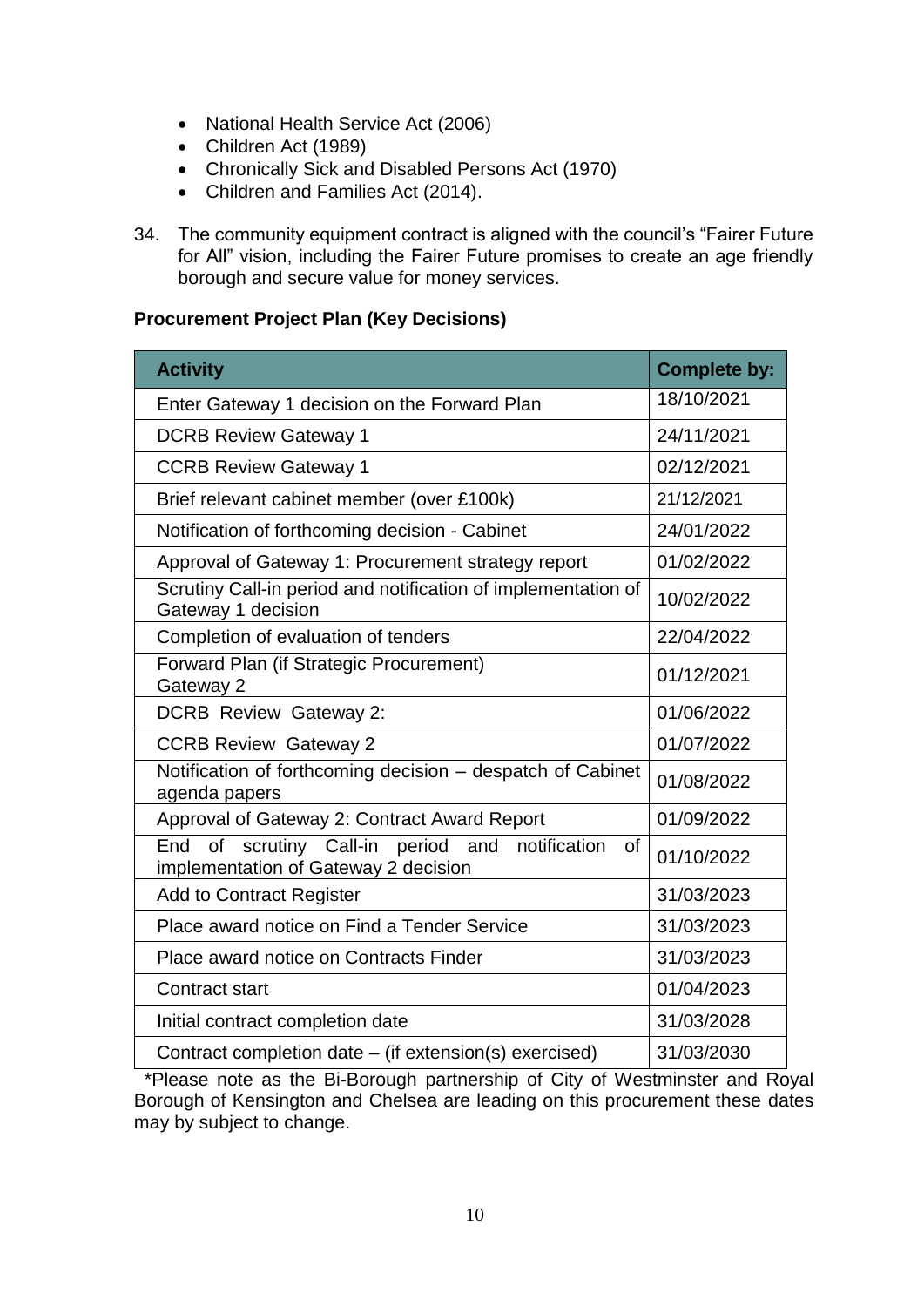- National Health Service Act (2006)
- Children Act (1989)
- Chronically Sick and Disabled Persons Act (1970)
- Children and Families Act (2014).
- 34. The community equipment contract is aligned with the council's "Fairer Future for All" vision, including the Fairer Future promises to create an age friendly borough and secure value for money services.

# **Procurement Project Plan (Key Decisions)**

| <b>Activity</b>                                                                                        | <b>Complete by:</b> |
|--------------------------------------------------------------------------------------------------------|---------------------|
| Enter Gateway 1 decision on the Forward Plan                                                           | 18/10/2021          |
| <b>DCRB Review Gateway 1</b>                                                                           | 24/11/2021          |
| <b>CCRB Review Gateway 1</b>                                                                           | 02/12/2021          |
| Brief relevant cabinet member (over £100k)                                                             | 21/12/2021          |
| Notification of forthcoming decision - Cabinet                                                         | 24/01/2022          |
| Approval of Gateway 1: Procurement strategy report                                                     | 01/02/2022          |
| Scrutiny Call-in period and notification of implementation of<br>Gateway 1 decision                    | 10/02/2022          |
| Completion of evaluation of tenders                                                                    | 22/04/2022          |
| Forward Plan (if Strategic Procurement)<br>Gateway 2                                                   | 01/12/2021          |
| <b>DCRB Review Gateway 2:</b>                                                                          | 01/06/2022          |
| <b>CCRB Review Gateway 2</b>                                                                           | 01/07/2022          |
| Notification of forthcoming decision - despatch of Cabinet<br>agenda papers                            | 01/08/2022          |
| Approval of Gateway 2: Contract Award Report                                                           | 01/09/2022          |
| scrutiny Call-in period and<br>End<br>of<br>notification<br>οf<br>implementation of Gateway 2 decision | 01/10/2022          |
| <b>Add to Contract Register</b>                                                                        | 31/03/2023          |
| Place award notice on Find a Tender Service                                                            | 31/03/2023          |
| Place award notice on Contracts Finder                                                                 | 31/03/2023          |
| <b>Contract start</b>                                                                                  | 01/04/2023          |
| Initial contract completion date                                                                       | 31/03/2028          |
| Contract completion date – (if extension(s) exercised)                                                 | 31/03/2030          |

 \*Please note as the Bi-Borough partnership of City of Westminster and Royal Borough of Kensington and Chelsea are leading on this procurement these dates may by subject to change.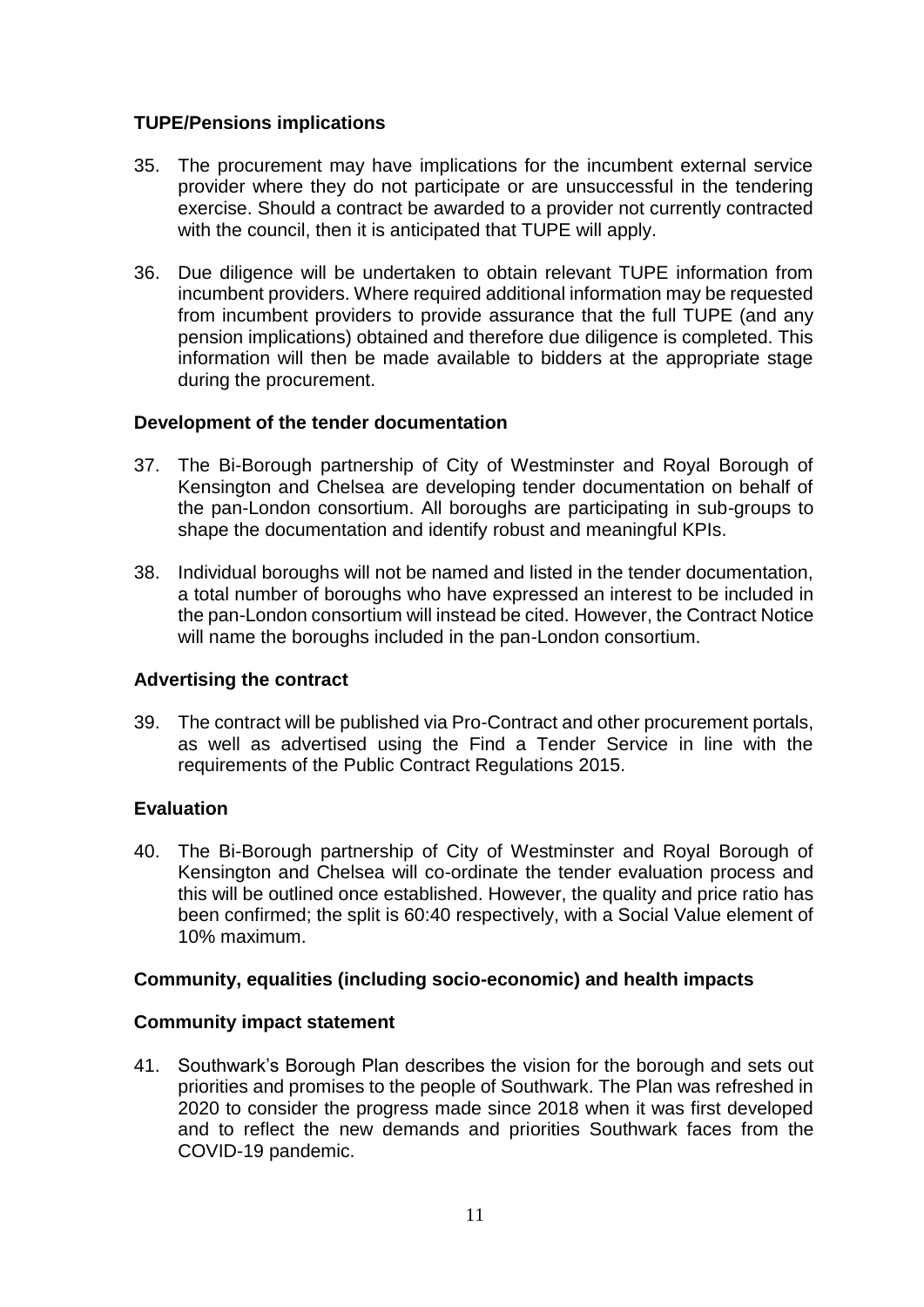# **TUPE/Pensions implications**

- 35. The procurement may have implications for the incumbent external service provider where they do not participate or are unsuccessful in the tendering exercise. Should a contract be awarded to a provider not currently contracted with the council, then it is anticipated that TUPE will apply.
- 36. Due diligence will be undertaken to obtain relevant TUPE information from incumbent providers. Where required additional information may be requested from incumbent providers to provide assurance that the full TUPE (and any pension implications) obtained and therefore due diligence is completed. This information will then be made available to bidders at the appropriate stage during the procurement.

## **Development of the tender documentation**

- 37. The Bi-Borough partnership of City of Westminster and Royal Borough of Kensington and Chelsea are developing tender documentation on behalf of the pan-London consortium. All boroughs are participating in sub-groups to shape the documentation and identify robust and meaningful KPIs.
- 38. Individual boroughs will not be named and listed in the tender documentation, a total number of boroughs who have expressed an interest to be included in the pan-London consortium will instead be cited. However, the Contract Notice will name the boroughs included in the pan-London consortium.

## **Advertising the contract**

39. The contract will be published via Pro-Contract and other procurement portals, as well as advertised using the Find a Tender Service in line with the requirements of the Public Contract Regulations 2015.

## **Evaluation**

40. The Bi-Borough partnership of City of Westminster and Royal Borough of Kensington and Chelsea will co-ordinate the tender evaluation process and this will be outlined once established. However, the quality and price ratio has been confirmed; the split is 60:40 respectively, with a Social Value element of 10% maximum.

## **Community, equalities (including socio-economic) and health impacts**

#### **Community impact statement**

41. Southwark's Borough Plan describes the vision for the borough and sets out priorities and promises to the people of Southwark. The Plan was refreshed in 2020 to consider the progress made since 2018 when it was first developed and to reflect the new demands and priorities Southwark faces from the COVID-19 pandemic.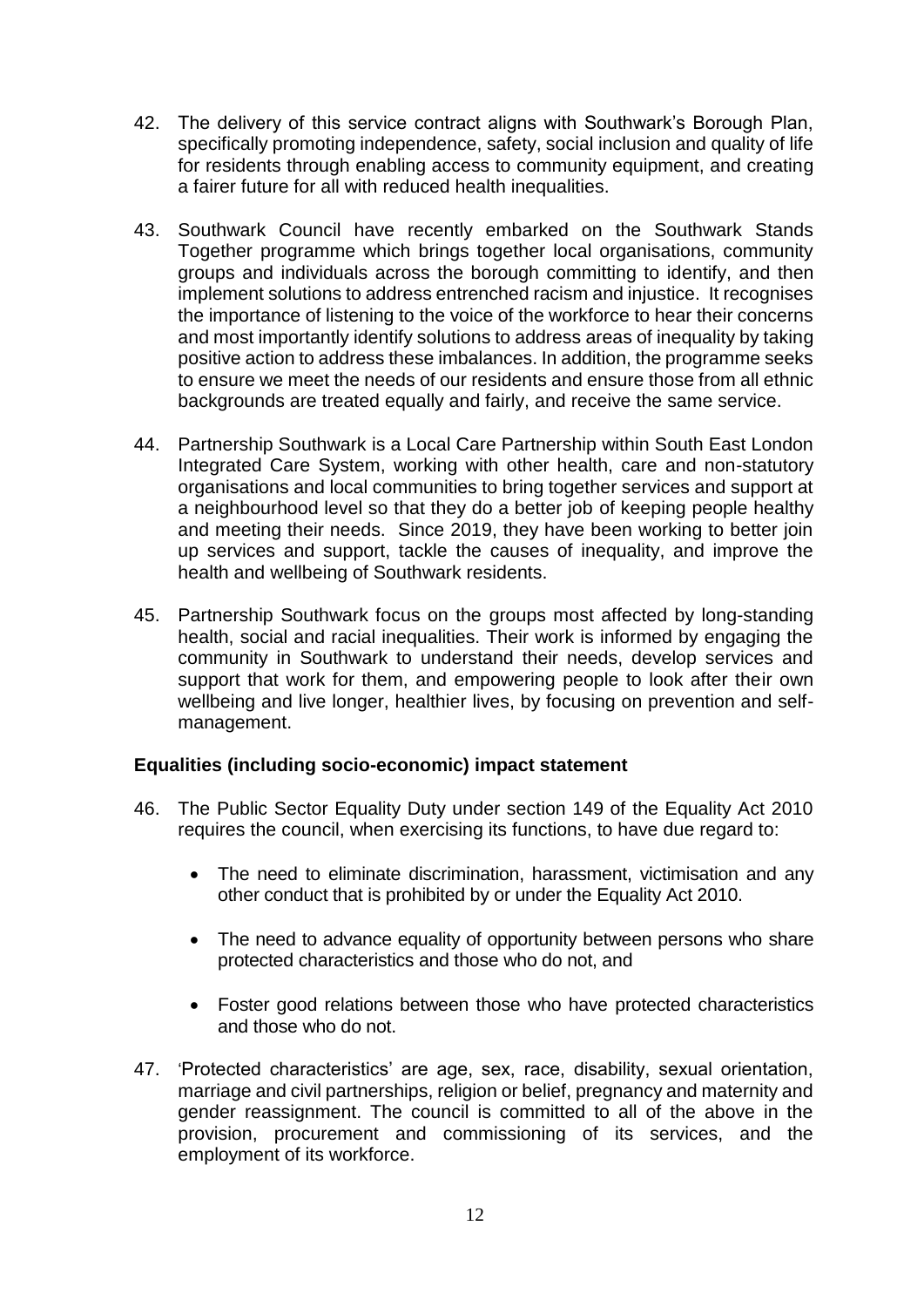- 42. The delivery of this service contract aligns with Southwark's Borough Plan, specifically promoting independence, safety, social inclusion and quality of life for residents through enabling access to community equipment, and creating a fairer future for all with reduced health inequalities.
- 43. Southwark Council have recently embarked on the Southwark Stands Together programme which brings together local organisations, community groups and individuals across the borough committing to identify, and then implement solutions to address entrenched racism and injustice. It recognises the importance of listening to the voice of the workforce to hear their concerns and most importantly identify solutions to address areas of inequality by taking positive action to address these imbalances. In addition, the programme seeks to ensure we meet the needs of our residents and ensure those from all ethnic backgrounds are treated equally and fairly, and receive the same service.
- 44. Partnership Southwark is a Local Care Partnership within South East London Integrated Care System, working with other health, care and non-statutory organisations and local communities to bring together services and support at a neighbourhood level so that they do a better job of keeping people healthy and meeting their needs. Since 2019, they have been working to better join up services and support, tackle the causes of inequality, and improve the health and wellbeing of Southwark residents.
- 45. Partnership Southwark focus on the groups most affected by long-standing health, social and racial inequalities. Their work is informed by engaging the community in Southwark to understand their needs, develop services and support that work for them, and empowering people to look after their own wellbeing and live longer, healthier lives, by focusing on prevention and selfmanagement.

## **Equalities (including socio-economic) impact statement**

- 46. The Public Sector Equality Duty under section 149 of the Equality Act 2010 requires the council, when exercising its functions, to have due regard to:
	- The need to eliminate discrimination, harassment, victimisation and any other conduct that is prohibited by or under the Equality Act 2010.
	- The need to advance equality of opportunity between persons who share protected characteristics and those who do not, and
	- Foster good relations between those who have protected characteristics and those who do not.
- 47. 'Protected characteristics' are age, sex, race, disability, sexual orientation, marriage and civil partnerships, religion or belief, pregnancy and maternity and gender reassignment. The council is committed to all of the above in the provision, procurement and commissioning of its services, and the employment of its workforce.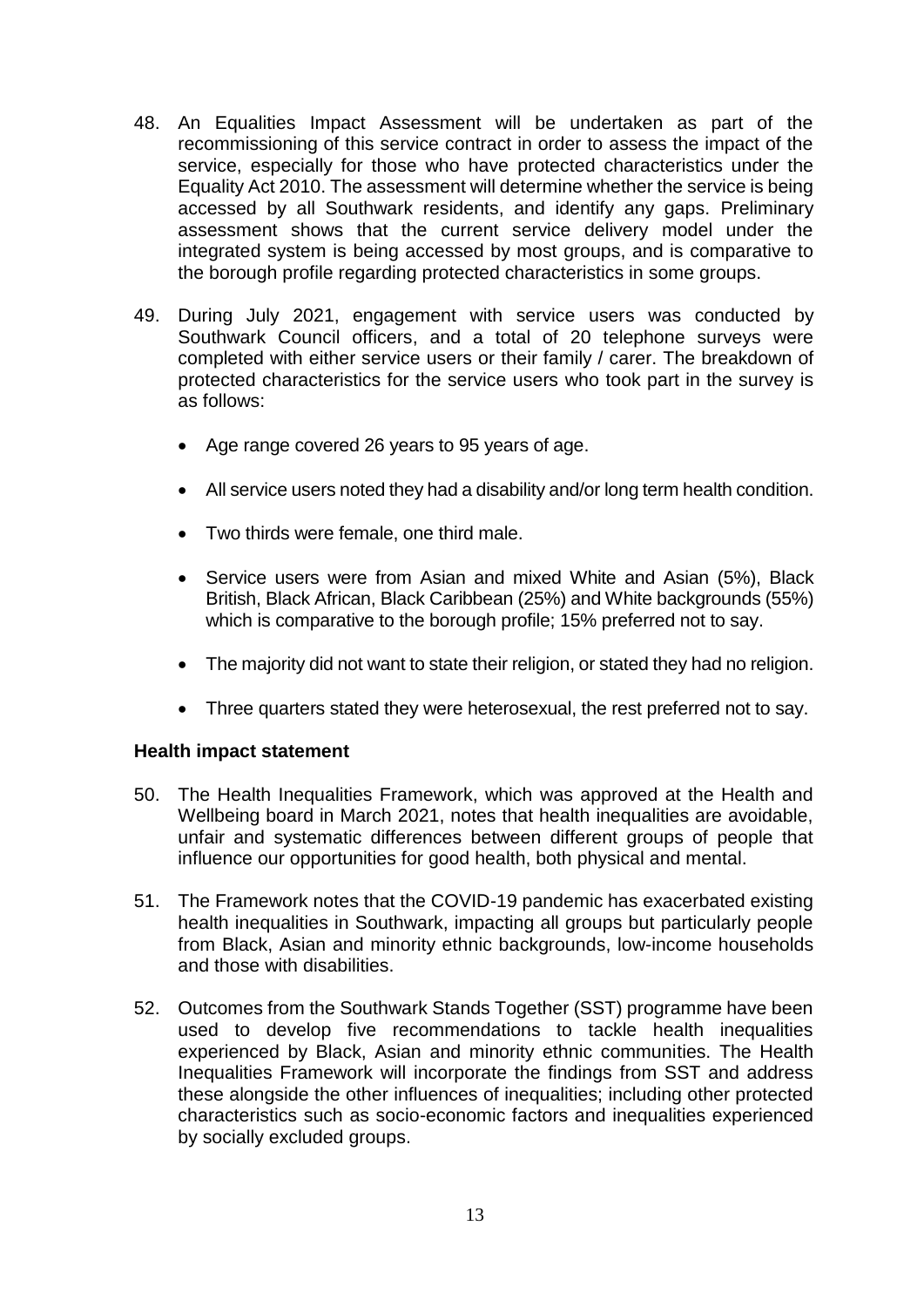- 48. An Equalities Impact Assessment will be undertaken as part of the recommissioning of this service contract in order to assess the impact of the service, especially for those who have protected characteristics under the Equality Act 2010. The assessment will determine whether the service is being accessed by all Southwark residents, and identify any gaps. Preliminary assessment shows that the current service delivery model under the integrated system is being accessed by most groups, and is comparative to the borough profile regarding protected characteristics in some groups.
- 49. During July 2021, engagement with service users was conducted by Southwark Council officers, and a total of 20 telephone surveys were completed with either service users or their family / carer. The breakdown of protected characteristics for the service users who took part in the survey is as follows:
	- Age range covered 26 years to 95 years of age.
	- All service users noted they had a disability and/or long term health condition.
	- Two thirds were female, one third male.
	- Service users were from Asian and mixed White and Asian (5%), Black British, Black African, Black Caribbean (25%) and White backgrounds (55%) which is comparative to the borough profile; 15% preferred not to say.
	- The majority did not want to state their religion, or stated they had no religion.
	- Three quarters stated they were heterosexual, the rest preferred not to say.

#### **Health impact statement**

- 50. The Health Inequalities Framework, which was approved at the Health and Wellbeing board in March 2021, notes that health inequalities are avoidable, unfair and systematic differences between different groups of people that influence our opportunities for good health, both physical and mental.
- 51. The Framework notes that the COVID-19 pandemic has exacerbated existing health inequalities in Southwark, impacting all groups but particularly people from Black, Asian and minority ethnic backgrounds, low-income households and those with disabilities.
- 52. Outcomes from the Southwark Stands Together (SST) programme have been used to develop five recommendations to tackle health inequalities experienced by Black, Asian and minority ethnic communities. The Health Inequalities Framework will incorporate the findings from SST and address these alongside the other influences of inequalities; including other protected characteristics such as socio-economic factors and inequalities experienced by socially excluded groups.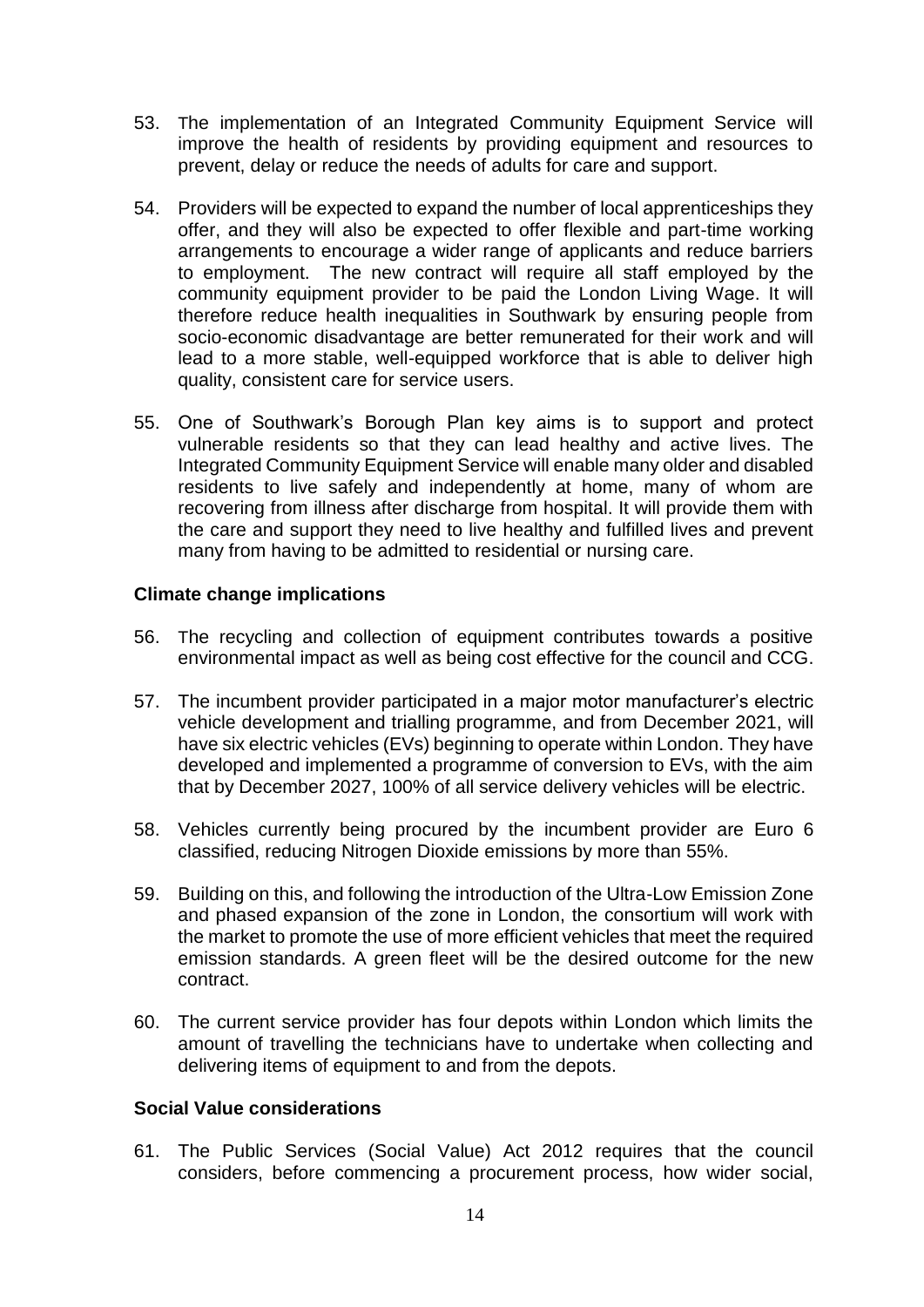- 53. The implementation of an Integrated Community Equipment Service will improve the health of residents by providing equipment and resources to prevent, delay or reduce the needs of adults for care and support.
- 54. Providers will be expected to expand the number of local apprenticeships they offer, and they will also be expected to offer flexible and part-time working arrangements to encourage a wider range of applicants and reduce barriers to employment. The new contract will require all staff employed by the community equipment provider to be paid the London Living Wage. It will therefore reduce health inequalities in Southwark by ensuring people from socio-economic disadvantage are better remunerated for their work and will lead to a more stable, well-equipped workforce that is able to deliver high quality, consistent care for service users.
- 55. One of Southwark's Borough Plan key aims is to support and protect vulnerable residents so that they can lead healthy and active lives. The Integrated Community Equipment Service will enable many older and disabled residents to live safely and independently at home, many of whom are recovering from illness after discharge from hospital. It will provide them with the care and support they need to live healthy and fulfilled lives and prevent many from having to be admitted to residential or nursing care.

## **Climate change implications**

- 56. The recycling and collection of equipment contributes towards a positive environmental impact as well as being cost effective for the council and CCG.
- 57. The incumbent provider participated in a major motor manufacturer's electric vehicle development and trialling programme, and from December 2021, will have six electric vehicles (EVs) beginning to operate within London. They have developed and implemented a programme of conversion to EVs, with the aim that by December 2027, 100% of all service delivery vehicles will be electric.
- 58. Vehicles currently being procured by the incumbent provider are Euro 6 classified, reducing Nitrogen Dioxide emissions by more than 55%.
- 59. Building on this, and following the introduction of the Ultra-Low Emission Zone and phased expansion of the zone in London, the consortium will work with the market to promote the use of more efficient vehicles that meet the required emission standards. A green fleet will be the desired outcome for the new contract.
- 60. The current service provider has four depots within London which limits the amount of travelling the technicians have to undertake when collecting and delivering items of equipment to and from the depots.

## **Social Value considerations**

61. The Public Services (Social Value) Act 2012 requires that the council considers, before commencing a procurement process, how wider social,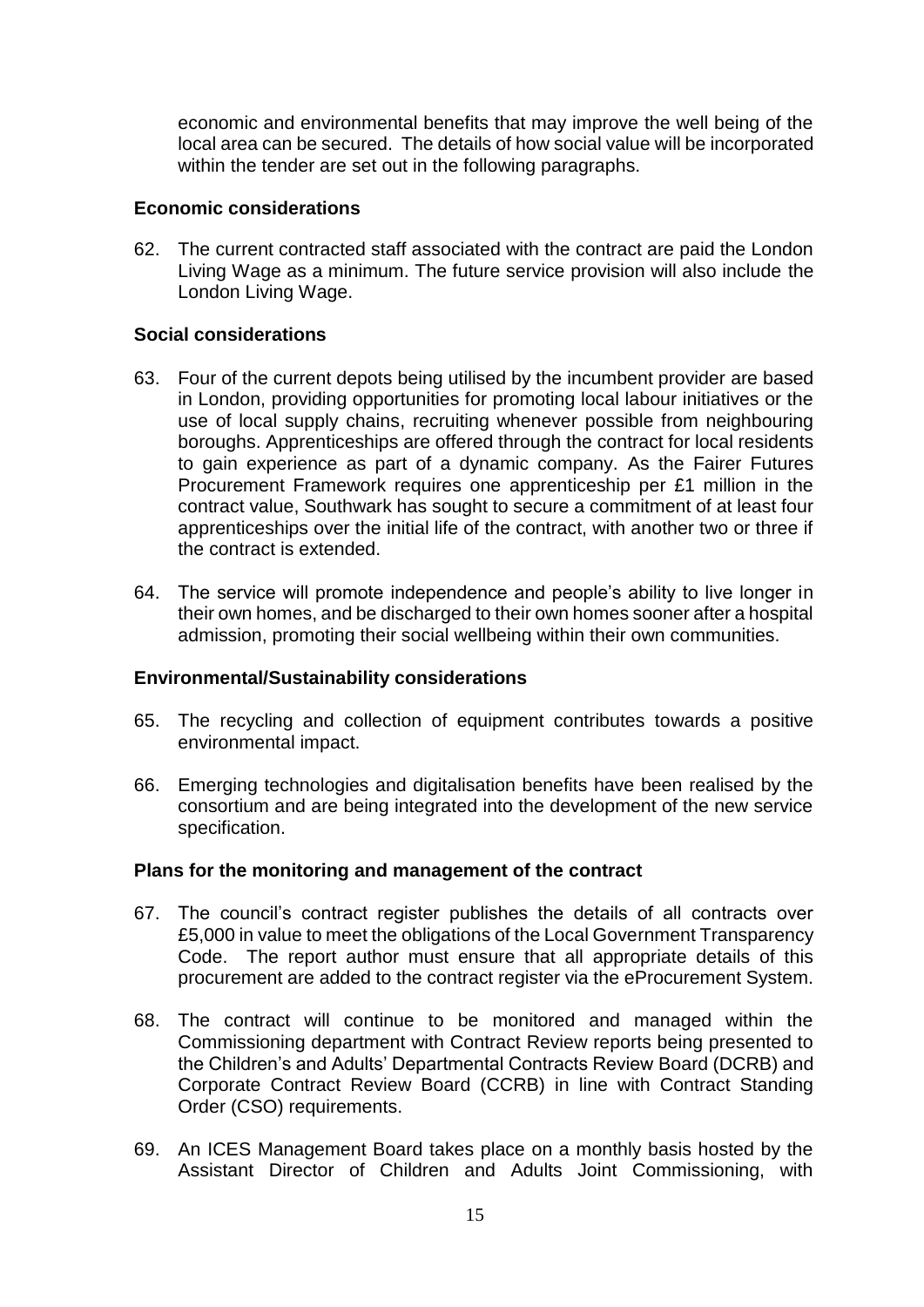economic and environmental benefits that may improve the well being of the local area can be secured. The details of how social value will be incorporated within the tender are set out in the following paragraphs.

#### **Economic considerations**

62. The current contracted staff associated with the contract are paid the London Living Wage as a minimum. The future service provision will also include the London Living Wage.

#### **Social considerations**

- 63. Four of the current depots being utilised by the incumbent provider are based in London, providing opportunities for promoting local labour initiatives or the use of local supply chains, recruiting whenever possible from neighbouring boroughs. Apprenticeships are offered through the contract for local residents to gain experience as part of a dynamic company. As the Fairer Futures Procurement Framework requires one apprenticeship per £1 million in the contract value, Southwark has sought to secure a commitment of at least four apprenticeships over the initial life of the contract, with another two or three if the contract is extended.
- 64. The service will promote independence and people's ability to live longer in their own homes, and be discharged to their own homes sooner after a hospital admission, promoting their social wellbeing within their own communities.

#### **Environmental/Sustainability considerations**

- 65. The recycling and collection of equipment contributes towards a positive environmental impact.
- 66. Emerging technologies and digitalisation benefits have been realised by the consortium and are being integrated into the development of the new service specification.

## **Plans for the monitoring and management of the contract**

- 67. The council's contract register publishes the details of all contracts over £5,000 in value to meet the obligations of the Local Government Transparency Code. The report author must ensure that all appropriate details of this procurement are added to the contract register via the eProcurement System.
- 68. The contract will continue to be monitored and managed within the Commissioning department with Contract Review reports being presented to the Children's and Adults' Departmental Contracts Review Board (DCRB) and Corporate Contract Review Board (CCRB) in line with Contract Standing Order (CSO) requirements.
- 69. An ICES Management Board takes place on a monthly basis hosted by the Assistant Director of Children and Adults Joint Commissioning, with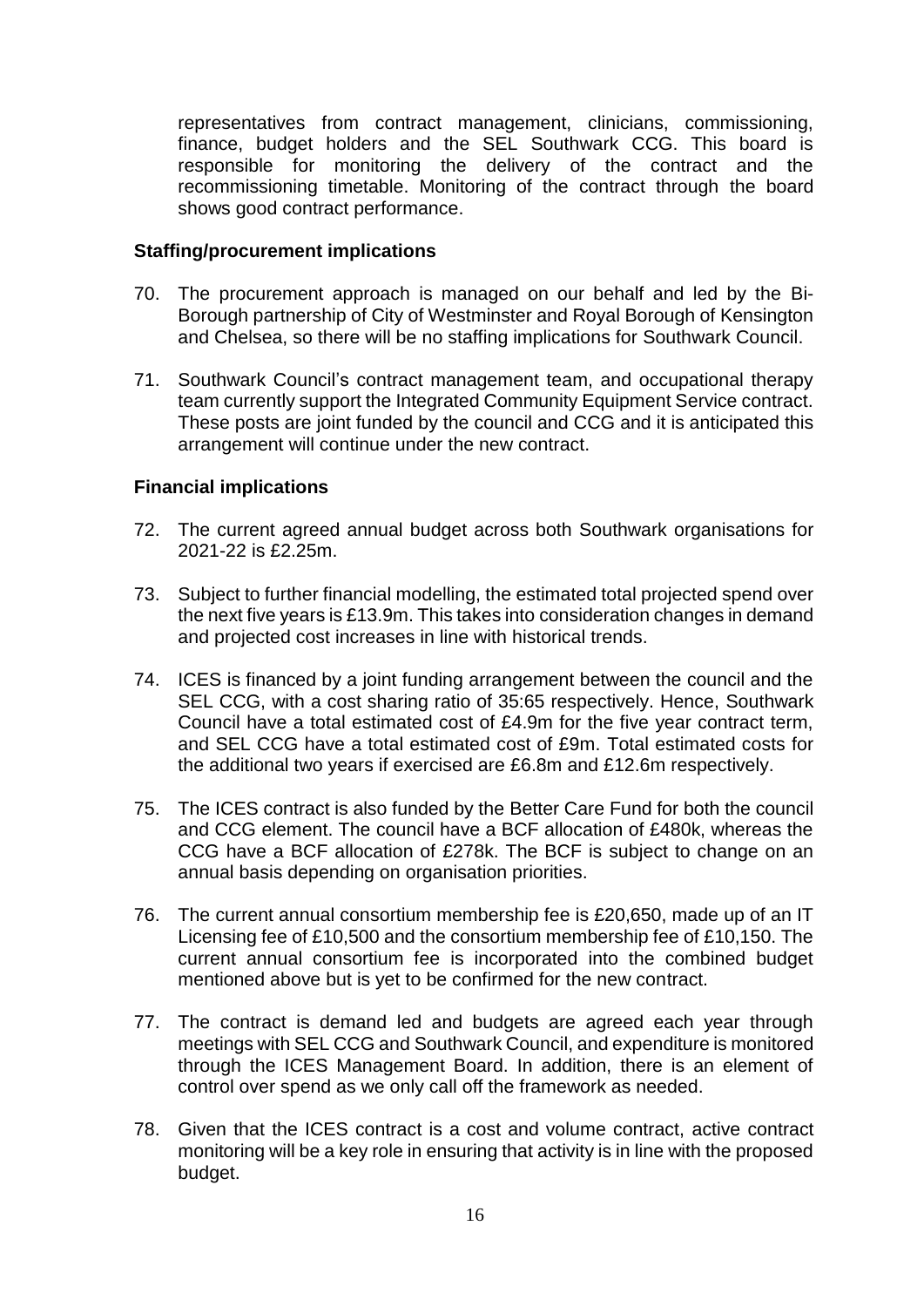representatives from contract management, clinicians, commissioning, finance, budget holders and the SEL Southwark CCG. This board is responsible for monitoring the delivery of the contract and the recommissioning timetable. Monitoring of the contract through the board shows good contract performance.

#### **Staffing/procurement implications**

- 70. The procurement approach is managed on our behalf and led by the Bi-Borough partnership of City of Westminster and Royal Borough of Kensington and Chelsea, so there will be no staffing implications for Southwark Council.
- 71. Southwark Council's contract management team, and occupational therapy team currently support the Integrated Community Equipment Service contract. These posts are joint funded by the council and CCG and it is anticipated this arrangement will continue under the new contract.

## **Financial implications**

- 72. The current agreed annual budget across both Southwark organisations for 2021-22 is £2.25m.
- 73. Subject to further financial modelling, the estimated total projected spend over the next five years is £13.9m. This takes into consideration changes in demand and projected cost increases in line with historical trends.
- 74. ICES is financed by a joint funding arrangement between the council and the SEL CCG, with a cost sharing ratio of 35:65 respectively. Hence, Southwark Council have a total estimated cost of £4.9m for the five year contract term, and SEL CCG have a total estimated cost of £9m. Total estimated costs for the additional two years if exercised are £6.8m and £12.6m respectively.
- 75. The ICES contract is also funded by the Better Care Fund for both the council and CCG element. The council have a BCF allocation of £480k, whereas the CCG have a BCF allocation of £278k. The BCF is subject to change on an annual basis depending on organisation priorities.
- 76. The current annual consortium membership fee is £20,650, made up of an IT Licensing fee of £10,500 and the consortium membership fee of £10,150. The current annual consortium fee is incorporated into the combined budget mentioned above but is yet to be confirmed for the new contract.
- 77. The contract is demand led and budgets are agreed each year through meetings with SEL CCG and Southwark Council, and expenditure is monitored through the ICES Management Board. In addition, there is an element of control over spend as we only call off the framework as needed.
- 78. Given that the ICES contract is a cost and volume contract, active contract monitoring will be a key role in ensuring that activity is in line with the proposed budget.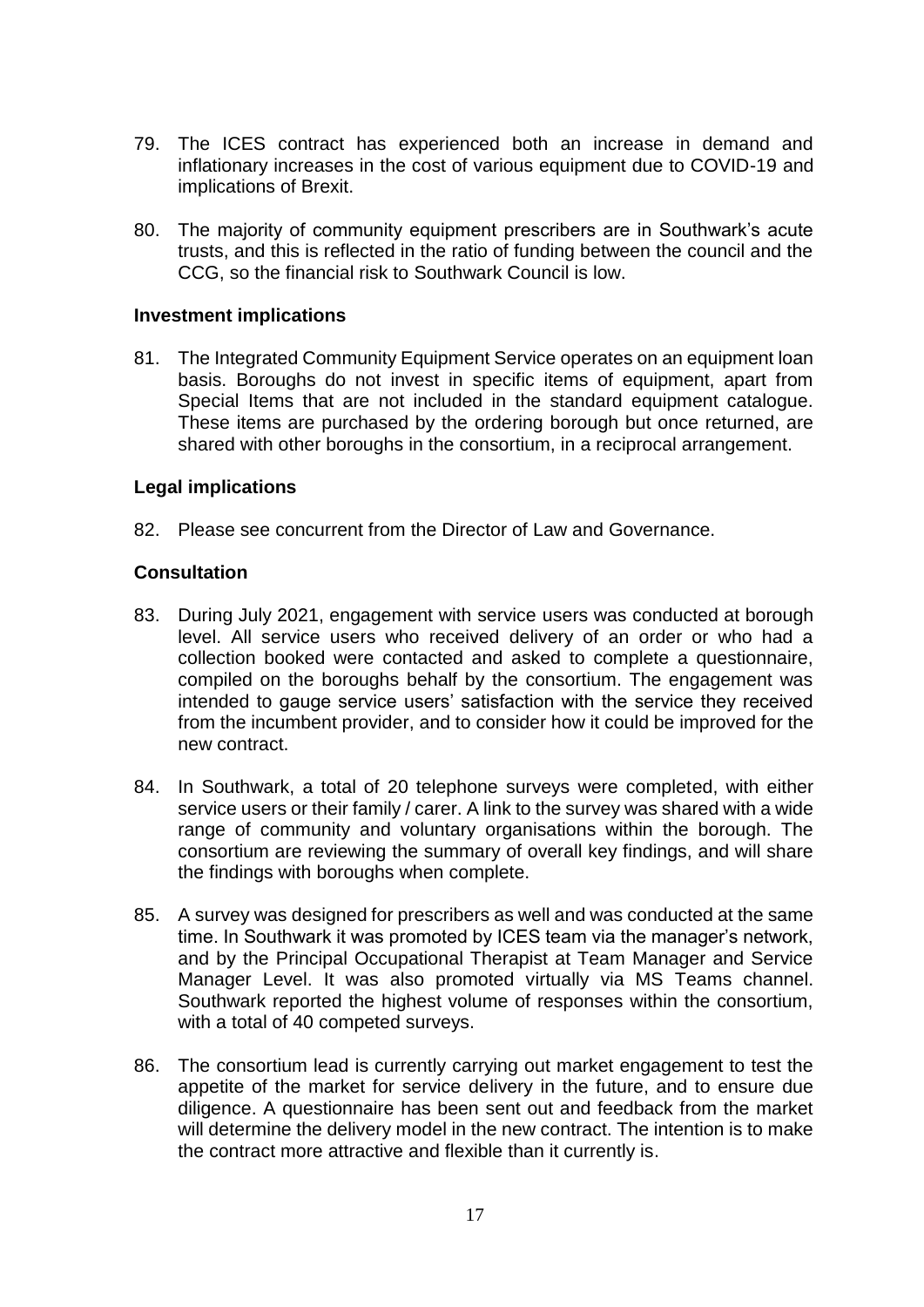- 79. The ICES contract has experienced both an increase in demand and inflationary increases in the cost of various equipment due to COVID-19 and implications of Brexit.
- 80. The majority of community equipment prescribers are in Southwark's acute trusts, and this is reflected in the ratio of funding between the council and the CCG, so the financial risk to Southwark Council is low.

#### **Investment implications**

81. The Integrated Community Equipment Service operates on an equipment loan basis. Boroughs do not invest in specific items of equipment, apart from Special Items that are not included in the standard equipment catalogue. These items are purchased by the ordering borough but once returned, are shared with other boroughs in the consortium, in a reciprocal arrangement.

#### **Legal implications**

82. Please see concurrent from the Director of Law and Governance.

## **Consultation**

- 83. During July 2021, engagement with service users was conducted at borough level. All service users who received delivery of an order or who had a collection booked were contacted and asked to complete a questionnaire, compiled on the boroughs behalf by the consortium. The engagement was intended to gauge service users' satisfaction with the service they received from the incumbent provider, and to consider how it could be improved for the new contract.
- 84. In Southwark, a total of 20 telephone surveys were completed, with either service users or their family / carer. A link to the survey was shared with a wide range of community and voluntary organisations within the borough. The consortium are reviewing the summary of overall key findings, and will share the findings with boroughs when complete.
- 85. A survey was designed for prescribers as well and was conducted at the same time. In Southwark it was promoted by ICES team via the manager's network, and by the Principal Occupational Therapist at Team Manager and Service Manager Level. It was also promoted virtually via MS Teams channel. Southwark reported the highest volume of responses within the consortium, with a total of 40 competed surveys.
- 86. The consortium lead is currently carrying out market engagement to test the appetite of the market for service delivery in the future, and to ensure due diligence. A questionnaire has been sent out and feedback from the market will determine the delivery model in the new contract. The intention is to make the contract more attractive and flexible than it currently is.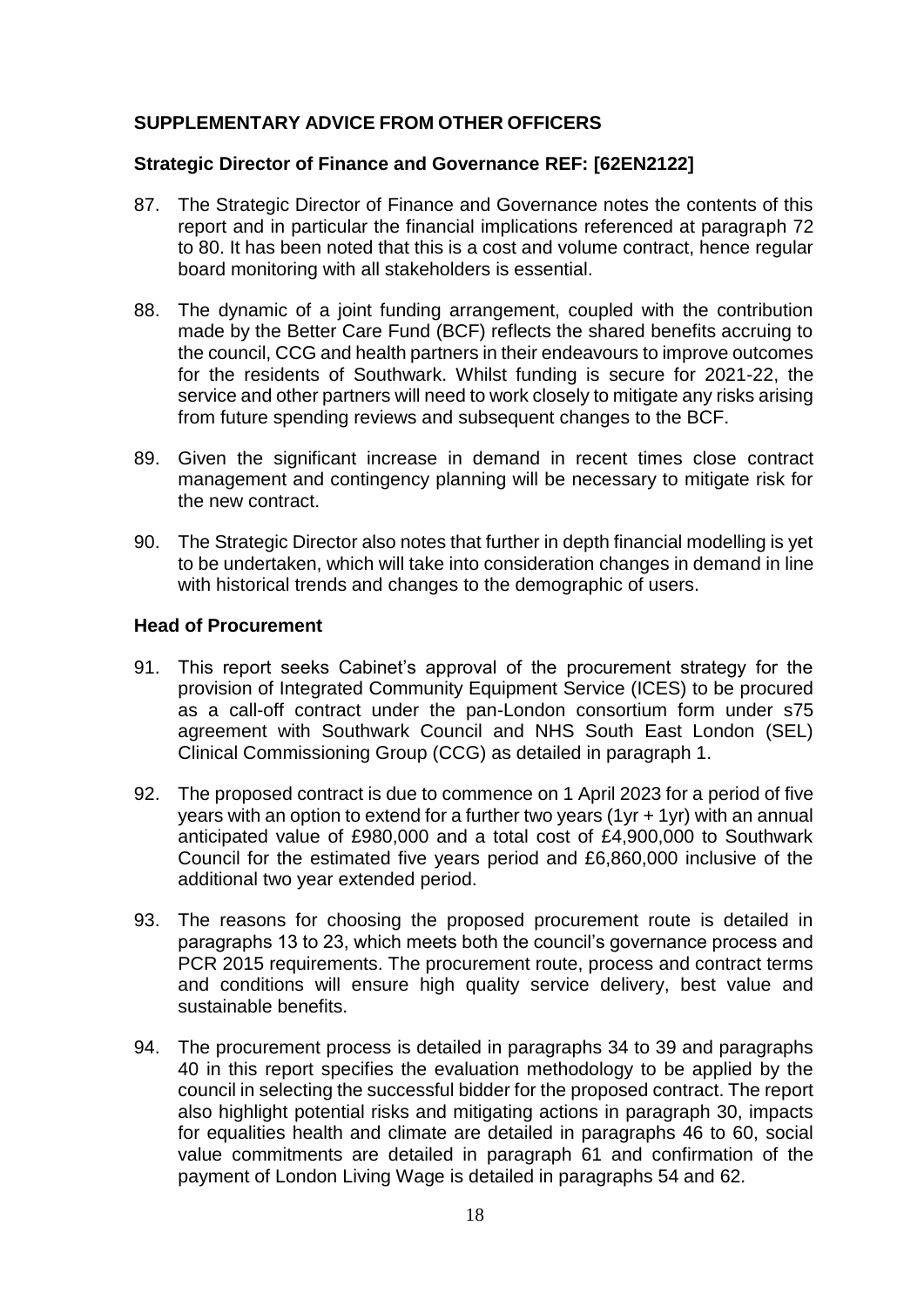# **SUPPLEMENTARY ADVICE FROM OTHER OFFICERS**

#### **Strategic Director of Finance and Governance REF: [62EN2122]**

- 87. The Strategic Director of Finance and Governance notes the contents of this report and in particular the financial implications referenced at paragraph 72 to 80. It has been noted that this is a cost and volume contract, hence regular board monitoring with all stakeholders is essential.
- 88. The dynamic of a joint funding arrangement, coupled with the contribution made by the Better Care Fund (BCF) reflects the shared benefits accruing to the council, CCG and health partners in their endeavours to improve outcomes for the residents of Southwark. Whilst funding is secure for 2021-22, the service and other partners will need to work closely to mitigate any risks arising from future spending reviews and subsequent changes to the BCF.
- 89. Given the significant increase in demand in recent times close contract management and contingency planning will be necessary to mitigate risk for the new contract.
- 90. The Strategic Director also notes that further in depth financial modelling is yet to be undertaken, which will take into consideration changes in demand in line with historical trends and changes to the demographic of users.

#### **Head of Procurement**

- 91. This report seeks Cabinet's approval of the procurement strategy for the provision of Integrated Community Equipment Service (ICES) to be procured as a call-off contract under the pan-London consortium form under s75 agreement with Southwark Council and NHS South East London (SEL) Clinical Commissioning Group (CCG) as detailed in paragraph 1.
- 92. The proposed contract is due to commence on 1 April 2023 for a period of five years with an option to extend for a further two years (1yr + 1yr) with an annual anticipated value of £980,000 and a total cost of £4,900,000 to Southwark Council for the estimated five years period and £6,860,000 inclusive of the additional two year extended period.
- 93. The reasons for choosing the proposed procurement route is detailed in paragraphs 13 to 23, which meets both the council's governance process and PCR 2015 requirements. The procurement route, process and contract terms and conditions will ensure high quality service delivery, best value and sustainable benefits.
- 94. The procurement process is detailed in paragraphs 34 to 39 and paragraphs 40 in this report specifies the evaluation methodology to be applied by the council in selecting the successful bidder for the proposed contract. The report also highlight potential risks and mitigating actions in paragraph 30, impacts for equalities health and climate are detailed in paragraphs 46 to 60, social value commitments are detailed in paragraph 61 and confirmation of the payment of London Living Wage is detailed in paragraphs 54 and 62.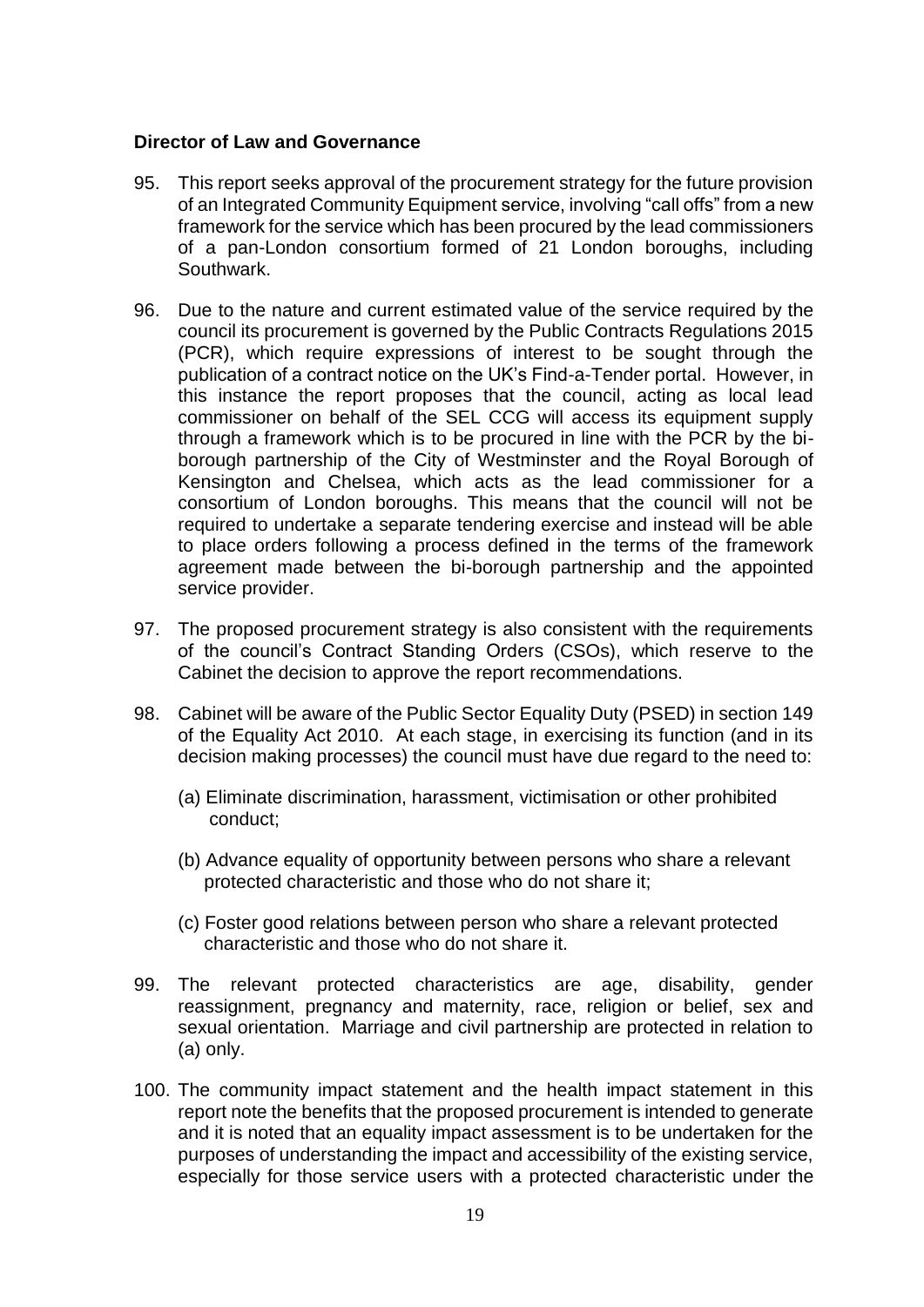#### **Director of Law and Governance**

- 95. This report seeks approval of the procurement strategy for the future provision of an Integrated Community Equipment service, involving "call offs" from a new framework for the service which has been procured by the lead commissioners of a pan-London consortium formed of 21 London boroughs, including Southwark.
- 96. Due to the nature and current estimated value of the service required by the council its procurement is governed by the Public Contracts Regulations 2015 (PCR), which require expressions of interest to be sought through the publication of a contract notice on the UK's Find-a-Tender portal. However, in this instance the report proposes that the council, acting as local lead commissioner on behalf of the SEL CCG will access its equipment supply through a framework which is to be procured in line with the PCR by the biborough partnership of the City of Westminster and the Royal Borough of Kensington and Chelsea, which acts as the lead commissioner for a consortium of London boroughs. This means that the council will not be required to undertake a separate tendering exercise and instead will be able to place orders following a process defined in the terms of the framework agreement made between the bi-borough partnership and the appointed service provider.
- 97. The proposed procurement strategy is also consistent with the requirements of the council's Contract Standing Orders (CSOs), which reserve to the Cabinet the decision to approve the report recommendations.
- 98. Cabinet will be aware of the Public Sector Equality Duty (PSED) in section 149 of the Equality Act 2010. At each stage, in exercising its function (and in its decision making processes) the council must have due regard to the need to:
	- (a) Eliminate discrimination, harassment, victimisation or other prohibited conduct;
	- (b) Advance equality of opportunity between persons who share a relevant protected characteristic and those who do not share it;
	- (c) Foster good relations between person who share a relevant protected characteristic and those who do not share it.
- 99. The relevant protected characteristics are age, disability, gender reassignment, pregnancy and maternity, race, religion or belief, sex and sexual orientation. Marriage and civil partnership are protected in relation to (a) only.
- 100. The community impact statement and the health impact statement in this report note the benefits that the proposed procurement is intended to generate and it is noted that an equality impact assessment is to be undertaken for the purposes of understanding the impact and accessibility of the existing service, especially for those service users with a protected characteristic under the